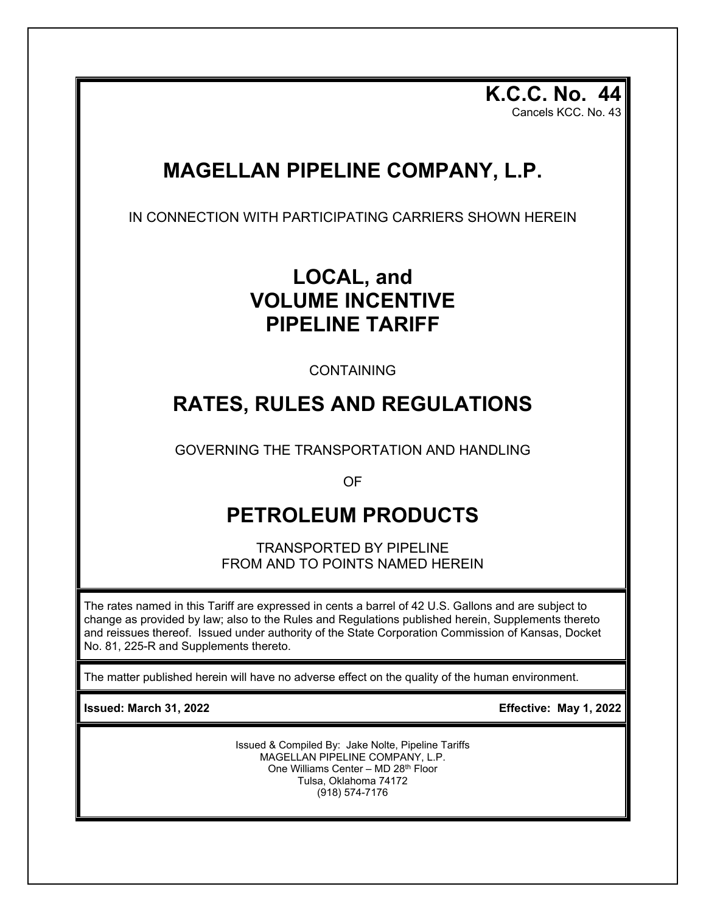**K.C.C. No. 44** Cancels KCC. No. 43

## **MAGELLAN PIPELINE COMPANY, L.P.**

IN CONNECTION WITH PARTICIPATING CARRIERS SHOWN HEREIN

## **LOCAL, and VOLUME INCENTIVE PIPELINE TARIFF**

CONTAINING

## **RATES, RULES AND REGULATIONS**

GOVERNING THE TRANSPORTATION AND HANDLING

OF

# **PETROLEUM PRODUCTS**

TRANSPORTED BY PIPELINE FROM AND TO POINTS NAMED HEREIN

The rates named in this Tariff are expressed in cents a barrel of 42 U.S. Gallons and are subject to change as provided by law; also to the Rules and Regulations published herein, Supplements thereto and reissues thereof. Issued under authority of the State Corporation Commission of Kansas, Docket No. 81, 225-R and Supplements thereto.

The matter published herein will have no adverse effect on the quality of the human environment.

**Issued: March 31, 2022 Effective: May 1, 2022**

Issued & Compiled By: Jake Nolte, Pipeline Tariffs MAGELLAN PIPELINE COMPANY, L.P. One Williams Center – MD 28<sup>th</sup> Floor Tulsa, Oklahoma 74172 (918) 574-7176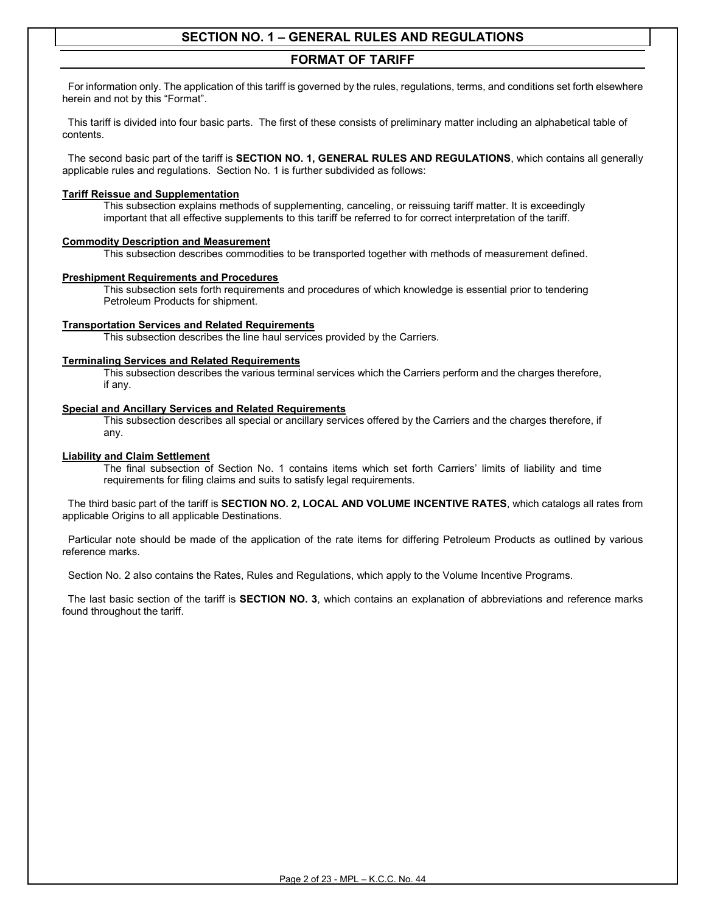### **FORMAT OF TARIFF**

 For information only. The application of this tariff is governed by the rules, regulations, terms, and conditions set forth elsewhere herein and not by this "Format".

 This tariff is divided into four basic parts. The first of these consists of preliminary matter including an alphabetical table of contents.

 The second basic part of the tariff is **SECTION NO. 1, GENERAL RULES AND REGULATIONS**, which contains all generally applicable rules and regulations. Section No. 1 is further subdivided as follows:

#### **Tariff Reissue and Supplementation**

This subsection explains methods of supplementing, canceling, or reissuing tariff matter. It is exceedingly important that all effective supplements to this tariff be referred to for correct interpretation of the tariff.

#### **Commodity Description and Measurement**

This subsection describes commodities to be transported together with methods of measurement defined.

#### **Preshipment Requirements and Procedures**

This subsection sets forth requirements and procedures of which knowledge is essential prior to tendering Petroleum Products for shipment.

#### **Transportation Services and Related Requirements**

This subsection describes the line haul services provided by the Carriers.

#### **Terminaling Services and Related Requirements**

This subsection describes the various terminal services which the Carriers perform and the charges therefore, if any.

#### **Special and Ancillary Services and Related Requirements**

This subsection describes all special or ancillary services offered by the Carriers and the charges therefore, if any.

#### **Liability and Claim Settlement**

The final subsection of Section No. 1 contains items which set forth Carriers' limits of liability and time requirements for filing claims and suits to satisfy legal requirements.

 The third basic part of the tariff is **SECTION NO. 2, LOCAL AND VOLUME INCENTIVE RATES**, which catalogs all rates from applicable Origins to all applicable Destinations.

 Particular note should be made of the application of the rate items for differing Petroleum Products as outlined by various reference marks.

Section No. 2 also contains the Rates, Rules and Regulations, which apply to the Volume Incentive Programs.

 The last basic section of the tariff is **SECTION NO. 3**, which contains an explanation of abbreviations and reference marks found throughout the tariff.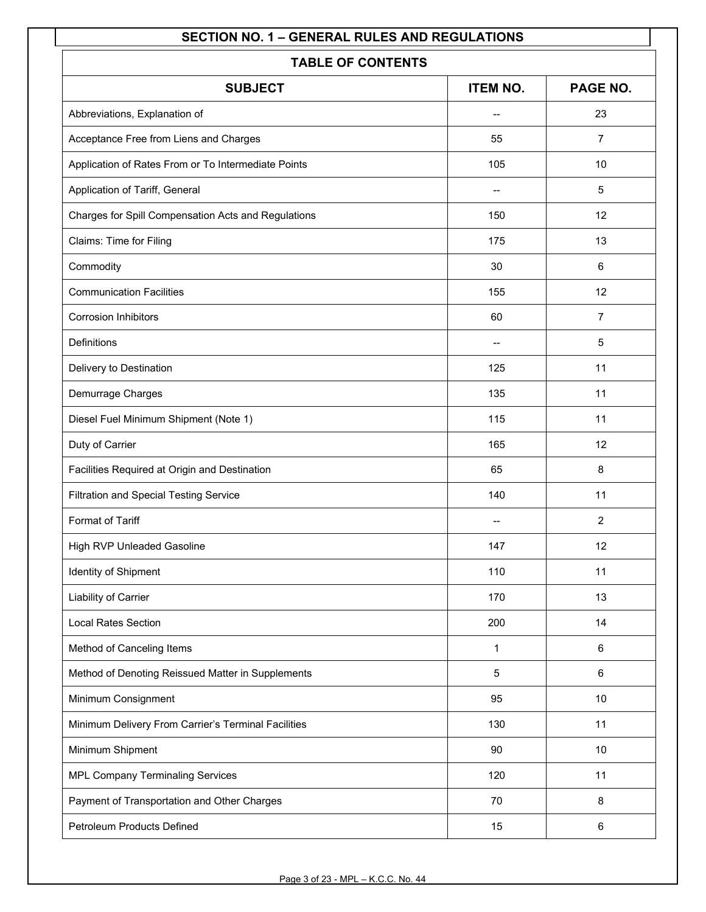| <b>TABLE OF CONTENTS</b>                            |                          |                |  |  |  |  |
|-----------------------------------------------------|--------------------------|----------------|--|--|--|--|
| <b>ITEM NO.</b><br>PAGE NO.<br><b>SUBJECT</b>       |                          |                |  |  |  |  |
| Abbreviations, Explanation of                       | $\overline{\phantom{m}}$ | 23             |  |  |  |  |
| Acceptance Free from Liens and Charges              | 55                       | $\overline{7}$ |  |  |  |  |
| Application of Rates From or To Intermediate Points | 105                      | 10             |  |  |  |  |
| Application of Tariff, General                      |                          | 5              |  |  |  |  |
| Charges for Spill Compensation Acts and Regulations | 150                      | 12             |  |  |  |  |
| Claims: Time for Filing                             | 175                      | 13             |  |  |  |  |
| Commodity                                           | 30                       | 6              |  |  |  |  |
| <b>Communication Facilities</b>                     | 155                      | 12             |  |  |  |  |
| <b>Corrosion Inhibitors</b>                         | 60                       | $\overline{7}$ |  |  |  |  |
| Definitions                                         |                          | 5              |  |  |  |  |
| Delivery to Destination                             | 125                      | 11             |  |  |  |  |
| Demurrage Charges                                   | 135                      | 11             |  |  |  |  |
| Diesel Fuel Minimum Shipment (Note 1)               | 115                      | 11             |  |  |  |  |
| Duty of Carrier                                     | 165                      | 12             |  |  |  |  |
| Facilities Required at Origin and Destination       | 65                       | 8              |  |  |  |  |
| Filtration and Special Testing Service              | 140                      | 11             |  |  |  |  |
| Format of Tariff                                    | $-$                      | $\overline{2}$ |  |  |  |  |
| High RVP Unleaded Gasoline                          | 147                      | 12             |  |  |  |  |
| Identity of Shipment                                | 110                      | 11             |  |  |  |  |
| Liability of Carrier                                | 170                      | 13             |  |  |  |  |
| <b>Local Rates Section</b>                          | 200                      | 14             |  |  |  |  |
| Method of Canceling Items                           | 1                        | $\,6\,$        |  |  |  |  |
| Method of Denoting Reissued Matter in Supplements   | 5                        | $6\phantom{1}$ |  |  |  |  |
| Minimum Consignment                                 | 95                       | 10             |  |  |  |  |
| Minimum Delivery From Carrier's Terminal Facilities | 130                      | 11             |  |  |  |  |
| Minimum Shipment                                    | 90                       | 10             |  |  |  |  |
| <b>MPL Company Terminaling Services</b>             | 120                      | 11             |  |  |  |  |
| Payment of Transportation and Other Charges         | 70                       | 8              |  |  |  |  |
| Petroleum Products Defined                          | 15                       | 6              |  |  |  |  |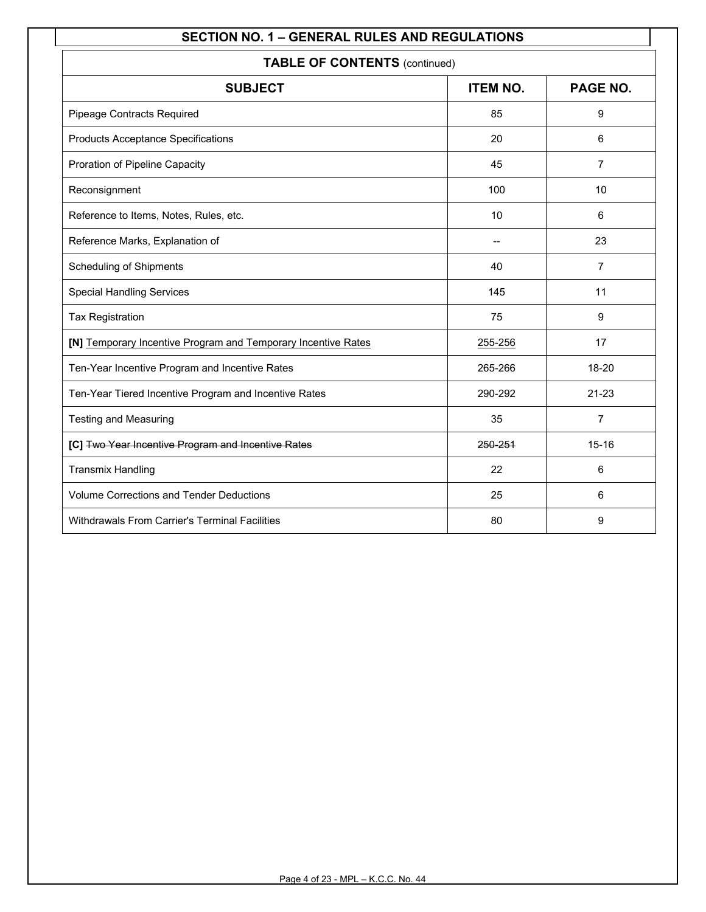| <b>TABLE OF CONTENTS (continued)</b>                          |                 |                |  |  |  |
|---------------------------------------------------------------|-----------------|----------------|--|--|--|
| <b>SUBJECT</b>                                                | <b>ITEM NO.</b> | PAGE NO.       |  |  |  |
| Pipeage Contracts Required                                    | 85              | 9              |  |  |  |
| <b>Products Acceptance Specifications</b>                     | 20              | 6              |  |  |  |
| Proration of Pipeline Capacity                                | 45              | $\overline{7}$ |  |  |  |
| Reconsignment                                                 | 100             | 10             |  |  |  |
| Reference to Items, Notes, Rules, etc.                        | 10              | 6              |  |  |  |
| Reference Marks, Explanation of                               | --              | 23             |  |  |  |
| <b>Scheduling of Shipments</b>                                | 40              | $\overline{7}$ |  |  |  |
| <b>Special Handling Services</b>                              | 145             | 11             |  |  |  |
| <b>Tax Registration</b>                                       | 75              | 9              |  |  |  |
| [N] Temporary Incentive Program and Temporary Incentive Rates | 255-256         | 17             |  |  |  |
| Ten-Year Incentive Program and Incentive Rates                | 265-266         | 18-20          |  |  |  |
| Ten-Year Tiered Incentive Program and Incentive Rates         | 290-292         | $21 - 23$      |  |  |  |
| <b>Testing and Measuring</b>                                  | 35              | 7              |  |  |  |
| [C] Two Year Incentive Program and Incentive Rates            | 250-251         | $15 - 16$      |  |  |  |
| <b>Transmix Handling</b>                                      | 22              | 6              |  |  |  |
| <b>Volume Corrections and Tender Deductions</b>               | 25              | 6              |  |  |  |
| <b>Withdrawals From Carrier's Terminal Facilities</b>         | 80              | 9              |  |  |  |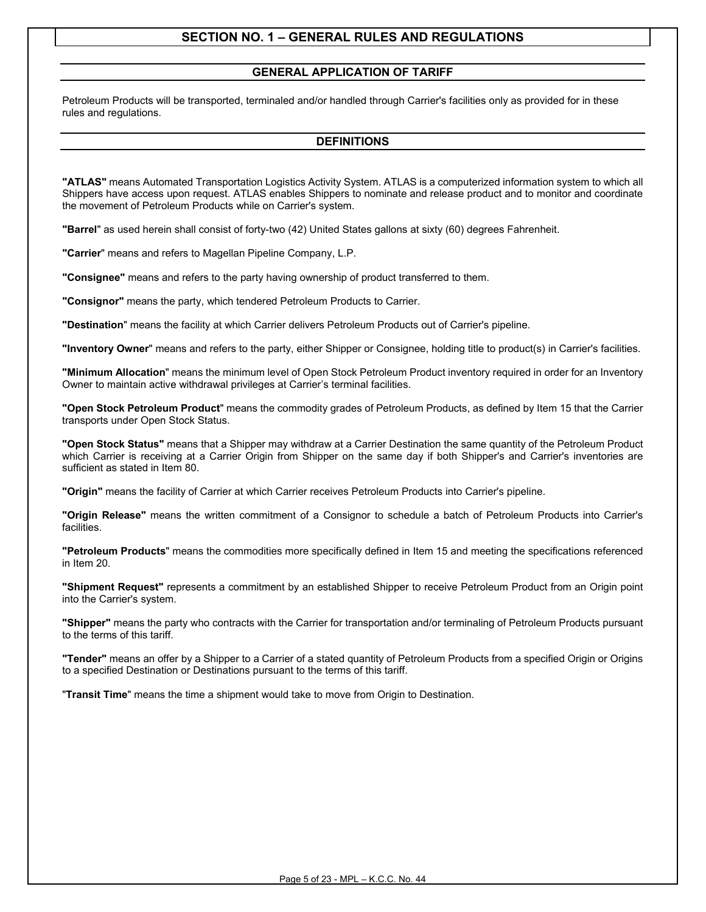### **GENERAL APPLICATION OF TARIFF**

Petroleum Products will be transported, terminaled and/or handled through Carrier's facilities only as provided for in these rules and regulations.

#### **DEFINITIONS**

**"ATLAS"** means Automated Transportation Logistics Activity System. ATLAS is a computerized information system to which all Shippers have access upon request. ATLAS enables Shippers to nominate and release product and to monitor and coordinate the movement of Petroleum Products while on Carrier's system.

**"Barrel**" as used herein shall consist of forty-two (42) United States gallons at sixty (60) degrees Fahrenheit.

**"Carrier**" means and refers to Magellan Pipeline Company, L.P.

**"Consignee"** means and refers to the party having ownership of product transferred to them.

**"Consignor"** means the party, which tendered Petroleum Products to Carrier.

**"Destination**" means the facility at which Carrier delivers Petroleum Products out of Carrier's pipeline.

**"Inventory Owner**" means and refers to the party, either Shipper or Consignee, holding title to product(s) in Carrier's facilities.

**"Minimum Allocation**" means the minimum level of Open Stock Petroleum Product inventory required in order for an Inventory Owner to maintain active withdrawal privileges at Carrier's terminal facilities.

**"Open Stock Petroleum Product**" means the commodity grades of Petroleum Products, as defined by Item 15 that the Carrier transports under Open Stock Status.

**"Open Stock Status"** means that a Shipper may withdraw at a Carrier Destination the same quantity of the Petroleum Product which Carrier is receiving at a Carrier Origin from Shipper on the same day if both Shipper's and Carrier's inventories are sufficient as stated in Item 80.

**"Origin"** means the facility of Carrier at which Carrier receives Petroleum Products into Carrier's pipeline.

**"Origin Release"** means the written commitment of a Consignor to schedule a batch of Petroleum Products into Carrier's facilities.

**"Petroleum Products**" means the commodities more specifically defined in Item 15 and meeting the specifications referenced in Item 20.

**"Shipment Request"** represents a commitment by an established Shipper to receive Petroleum Product from an Origin point into the Carrier's system.

**"Shipper"** means the party who contracts with the Carrier for transportation and/or terminaling of Petroleum Products pursuant to the terms of this tariff.

**"Tender"** means an offer by a Shipper to a Carrier of a stated quantity of Petroleum Products from a specified Origin or Origins to a specified Destination or Destinations pursuant to the terms of this tariff.

"**Transit Time**" means the time a shipment would take to move from Origin to Destination.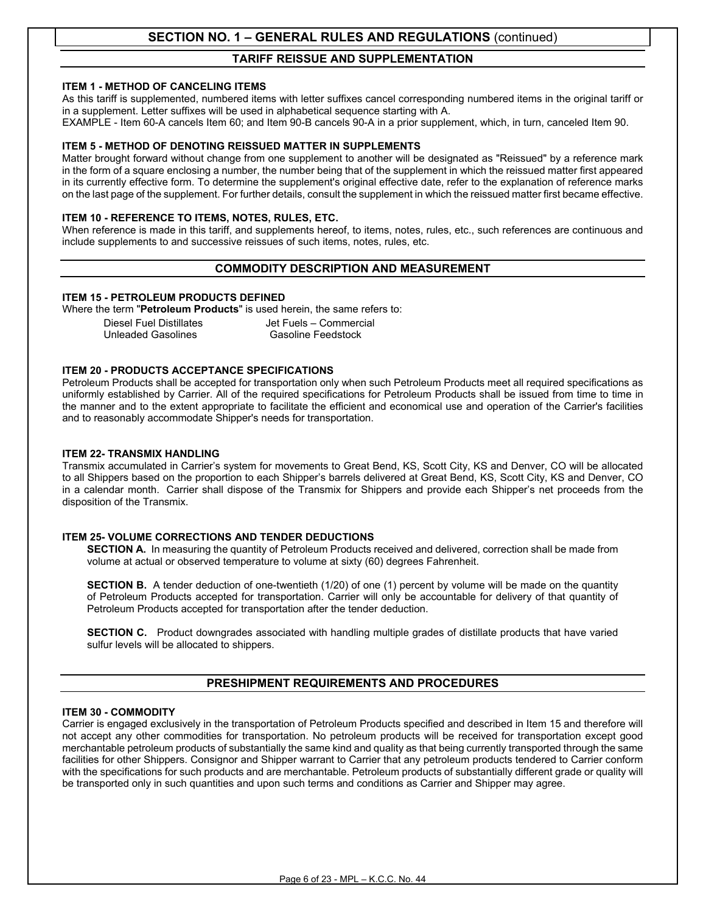### **TARIFF REISSUE AND SUPPLEMENTATION**

#### **ITEM 1 - METHOD OF CANCELING ITEMS**

As this tariff is supplemented, numbered items with letter suffixes cancel corresponding numbered items in the original tariff or in a supplement. Letter suffixes will be used in alphabetical sequence starting with A.

EXAMPLE - Item 60-A cancels Item 60; and Item 90-B cancels 90-A in a prior supplement, which, in turn, canceled Item 90.

#### **ITEM 5 - METHOD OF DENOTING REISSUED MATTER IN SUPPLEMENTS**

Matter brought forward without change from one supplement to another will be designated as "Reissued" by a reference mark in the form of a square enclosing a number, the number being that of the supplement in which the reissued matter first appeared in its currently effective form. To determine the supplement's original effective date, refer to the explanation of reference marks on the last page of the supplement. For further details, consult the supplement in which the reissued matter first became effective.

#### **ITEM 10 - REFERENCE TO ITEMS, NOTES, RULES, ETC.**

When reference is made in this tariff, and supplements hereof, to items, notes, rules, etc., such references are continuous and include supplements to and successive reissues of such items, notes, rules, etc.

### **COMMODITY DESCRIPTION AND MEASUREMENT**

#### **ITEM 15 - PETROLEUM PRODUCTS DEFINED**

Where the term "**Petroleum Products**" is used herein, the same refers to:

Diesel Fuel Distillates Jet Fuels – Commercial<br>Unleaded Gasolines Gasoline Feedstock Unleaded Gasolines

#### **ITEM 20 - PRODUCTS ACCEPTANCE SPECIFICATIONS**

Petroleum Products shall be accepted for transportation only when such Petroleum Products meet all required specifications as uniformly established by Carrier. All of the required specifications for Petroleum Products shall be issued from time to time in the manner and to the extent appropriate to facilitate the efficient and economical use and operation of the Carrier's facilities and to reasonably accommodate Shipper's needs for transportation.

#### **ITEM 22- TRANSMIX HANDLING**

Transmix accumulated in Carrier's system for movements to Great Bend, KS, Scott City, KS and Denver, CO will be allocated to all Shippers based on the proportion to each Shipper's barrels delivered at Great Bend, KS, Scott City, KS and Denver, CO in a calendar month. Carrier shall dispose of the Transmix for Shippers and provide each Shipper's net proceeds from the disposition of the Transmix.

#### **ITEM 25- VOLUME CORRECTIONS AND TENDER DEDUCTIONS**

**SECTION A.** In measuring the quantity of Petroleum Products received and delivered, correction shall be made from volume at actual or observed temperature to volume at sixty (60) degrees Fahrenheit.

**SECTION B.** A tender deduction of one-twentieth (1/20) of one (1) percent by volume will be made on the quantity of Petroleum Products accepted for transportation. Carrier will only be accountable for delivery of that quantity of Petroleum Products accepted for transportation after the tender deduction.

**SECTION C.** Product downgrades associated with handling multiple grades of distillate products that have varied sulfur levels will be allocated to shippers.

#### **PRESHIPMENT REQUIREMENTS AND PROCEDURES**

#### **ITEM 30 - COMMODITY**

Carrier is engaged exclusively in the transportation of Petroleum Products specified and described in Item 15 and therefore will not accept any other commodities for transportation. No petroleum products will be received for transportation except good merchantable petroleum products of substantially the same kind and quality as that being currently transported through the same facilities for other Shippers. Consignor and Shipper warrant to Carrier that any petroleum products tendered to Carrier conform with the specifications for such products and are merchantable. Petroleum products of substantially different grade or quality will be transported only in such quantities and upon such terms and conditions as Carrier and Shipper may agree.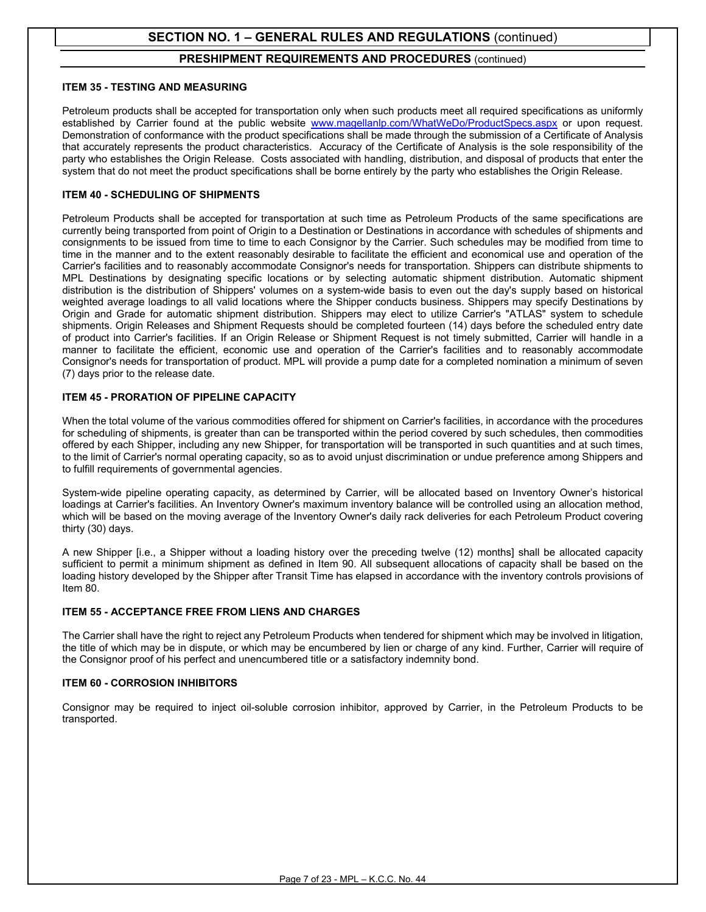#### **PRESHIPMENT REQUIREMENTS AND PROCEDURES** (continued)

#### **ITEM 35 - TESTING AND MEASURING**

Petroleum products shall be accepted for transportation only when such products meet all required specifications as uniformly established by Carrier found at the public website [www.magellanlp.com/WhatWeDo/ProductSpecs.aspx](http://www.magellanlp.com/WhatWeDo/ProductSpecs.aspx) or upon request. Demonstration of conformance with the product specifications shall be made through the submission of a Certificate of Analysis that accurately represents the product characteristics. Accuracy of the Certificate of Analysis is the sole responsibility of the party who establishes the Origin Release. Costs associated with handling, distribution, and disposal of products that enter the system that do not meet the product specifications shall be borne entirely by the party who establishes the Origin Release.

#### **ITEM 40 - SCHEDULING OF SHIPMENTS**

Petroleum Products shall be accepted for transportation at such time as Petroleum Products of the same specifications are currently being transported from point of Origin to a Destination or Destinations in accordance with schedules of shipments and consignments to be issued from time to time to each Consignor by the Carrier. Such schedules may be modified from time to time in the manner and to the extent reasonably desirable to facilitate the efficient and economical use and operation of the Carrier's facilities and to reasonably accommodate Consignor's needs for transportation. Shippers can distribute shipments to MPL Destinations by designating specific locations or by selecting automatic shipment distribution. Automatic shipment distribution is the distribution of Shippers' volumes on a system-wide basis to even out the day's supply based on historical weighted average loadings to all valid locations where the Shipper conducts business. Shippers may specify Destinations by Origin and Grade for automatic shipment distribution. Shippers may elect to utilize Carrier's "ATLAS" system to schedule shipments. Origin Releases and Shipment Requests should be completed fourteen (14) days before the scheduled entry date of product into Carrier's facilities. If an Origin Release or Shipment Request is not timely submitted, Carrier will handle in a manner to facilitate the efficient, economic use and operation of the Carrier's facilities and to reasonably accommodate Consignor's needs for transportation of product. MPL will provide a pump date for a completed nomination a minimum of seven (7) days prior to the release date.

#### **ITEM 45 - PRORATION OF PIPELINE CAPACITY**

When the total volume of the various commodities offered for shipment on Carrier's facilities, in accordance with the procedures for scheduling of shipments, is greater than can be transported within the period covered by such schedules, then commodities offered by each Shipper, including any new Shipper, for transportation will be transported in such quantities and at such times, to the limit of Carrier's normal operating capacity, so as to avoid unjust discrimination or undue preference among Shippers and to fulfill requirements of governmental agencies.

System-wide pipeline operating capacity, as determined by Carrier, will be allocated based on Inventory Owner's historical loadings at Carrier's facilities. An Inventory Owner's maximum inventory balance will be controlled using an allocation method, which will be based on the moving average of the Inventory Owner's daily rack deliveries for each Petroleum Product covering thirty (30) days.

A new Shipper [i.e., a Shipper without a loading history over the preceding twelve (12) months] shall be allocated capacity sufficient to permit a minimum shipment as defined in Item 90. All subsequent allocations of capacity shall be based on the loading history developed by the Shipper after Transit Time has elapsed in accordance with the inventory controls provisions of Item 80.

#### **ITEM 55 - ACCEPTANCE FREE FROM LIENS AND CHARGES**

The Carrier shall have the right to reject any Petroleum Products when tendered for shipment which may be involved in litigation, the title of which may be in dispute, or which may be encumbered by lien or charge of any kind. Further, Carrier will require of the Consignor proof of his perfect and unencumbered title or a satisfactory indemnity bond.

#### **ITEM 60 - CORROSION INHIBITORS**

Consignor may be required to inject oil-soluble corrosion inhibitor, approved by Carrier, in the Petroleum Products to be transported.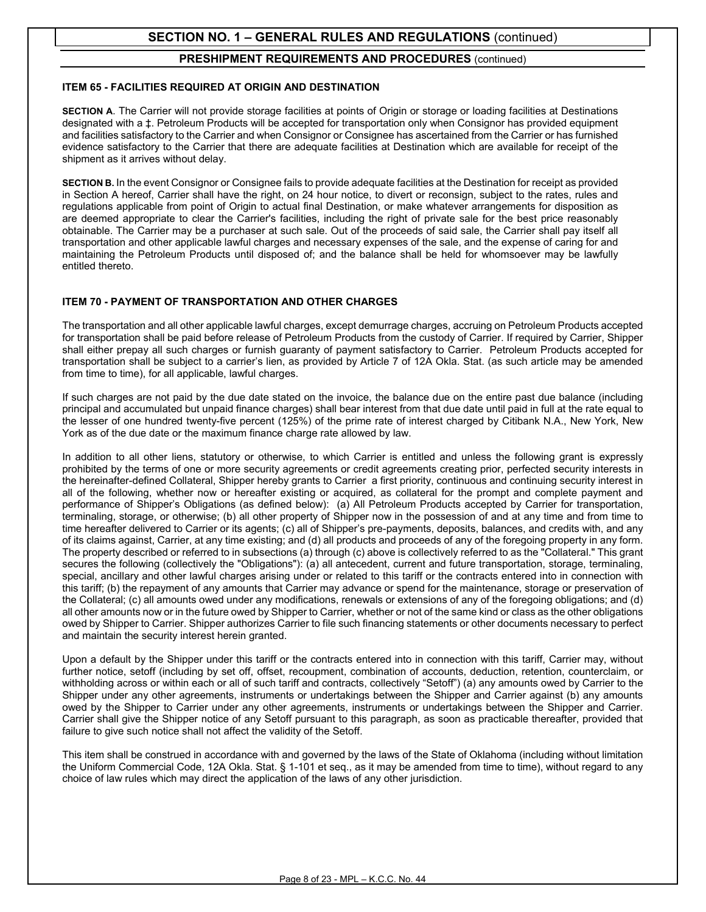#### **PRESHIPMENT REQUIREMENTS AND PROCEDURES** (continued)

#### **ITEM 65 - FACILITIES REQUIRED AT ORIGIN AND DESTINATION**

**SECTION A**. The Carrier will not provide storage facilities at points of Origin or storage or loading facilities at Destinations designated with a ‡. Petroleum Products will be accepted for transportation only when Consignor has provided equipment and facilities satisfactory to the Carrier and when Consignor or Consignee has ascertained from the Carrier or has furnished evidence satisfactory to the Carrier that there are adequate facilities at Destination which are available for receipt of the shipment as it arrives without delay.

**SECTION B.** In the event Consignor or Consignee fails to provide adequate facilities at the Destination for receipt as provided in Section A hereof, Carrier shall have the right, on 24 hour notice, to divert or reconsign, subject to the rates, rules and regulations applicable from point of Origin to actual final Destination, or make whatever arrangements for disposition as are deemed appropriate to clear the Carrier's facilities, including the right of private sale for the best price reasonably obtainable. The Carrier may be a purchaser at such sale. Out of the proceeds of said sale, the Carrier shall pay itself all transportation and other applicable lawful charges and necessary expenses of the sale, and the expense of caring for and maintaining the Petroleum Products until disposed of; and the balance shall be held for whomsoever may be lawfully entitled thereto.

#### **ITEM 70 - PAYMENT OF TRANSPORTATION AND OTHER CHARGES**

The transportation and all other applicable lawful charges, except demurrage charges, accruing on Petroleum Products accepted for transportation shall be paid before release of Petroleum Products from the custody of Carrier. If required by Carrier, Shipper shall either prepay all such charges or furnish guaranty of payment satisfactory to Carrier. Petroleum Products accepted for transportation shall be subject to a carrier's lien, as provided by Article 7 of 12A Okla. Stat. (as such article may be amended from time to time), for all applicable, lawful charges.

If such charges are not paid by the due date stated on the invoice, the balance due on the entire past due balance (including principal and accumulated but unpaid finance charges) shall bear interest from that due date until paid in full at the rate equal to the lesser of one hundred twenty-five percent (125%) of the prime rate of interest charged by Citibank N.A., New York, New York as of the due date or the maximum finance charge rate allowed by law.

In addition to all other liens, statutory or otherwise, to which Carrier is entitled and unless the following grant is expressly prohibited by the terms of one or more security agreements or credit agreements creating prior, perfected security interests in the hereinafter-defined Collateral, Shipper hereby grants to Carrier a first priority, continuous and continuing security interest in all of the following, whether now or hereafter existing or acquired, as collateral for the prompt and complete payment and performance of Shipper's Obligations (as defined below): (a) All Petroleum Products accepted by Carrier for transportation, terminaling, storage, or otherwise; (b) all other property of Shipper now in the possession of and at any time and from time to time hereafter delivered to Carrier or its agents; (c) all of Shipper's pre-payments, deposits, balances, and credits with, and any of its claims against, Carrier, at any time existing; and (d) all products and proceeds of any of the foregoing property in any form. The property described or referred to in subsections (a) through (c) above is collectively referred to as the "Collateral." This grant secures the following (collectively the "Obligations"): (a) all antecedent, current and future transportation, storage, terminaling, special, ancillary and other lawful charges arising under or related to this tariff or the contracts entered into in connection with this tariff; (b) the repayment of any amounts that Carrier may advance or spend for the maintenance, storage or preservation of the Collateral; (c) all amounts owed under any modifications, renewals or extensions of any of the foregoing obligations; and (d) all other amounts now or in the future owed by Shipper to Carrier, whether or not of the same kind or class as the other obligations owed by Shipper to Carrier. Shipper authorizes Carrier to file such financing statements or other documents necessary to perfect and maintain the security interest herein granted.

Upon a default by the Shipper under this tariff or the contracts entered into in connection with this tariff, Carrier may, without further notice, setoff (including by set off, offset, recoupment, combination of accounts, deduction, retention, counterclaim, or withholding across or within each or all of such tariff and contracts, collectively "Setoff") (a) any amounts owed by Carrier to the Shipper under any other agreements, instruments or undertakings between the Shipper and Carrier against (b) any amounts owed by the Shipper to Carrier under any other agreements, instruments or undertakings between the Shipper and Carrier. Carrier shall give the Shipper notice of any Setoff pursuant to this paragraph, as soon as practicable thereafter, provided that failure to give such notice shall not affect the validity of the Setoff.

This item shall be construed in accordance with and governed by the laws of the State of Oklahoma (including without limitation the Uniform Commercial Code, 12A Okla. Stat. § 1-101 et seq., as it may be amended from time to time), without regard to any choice of law rules which may direct the application of the laws of any other jurisdiction.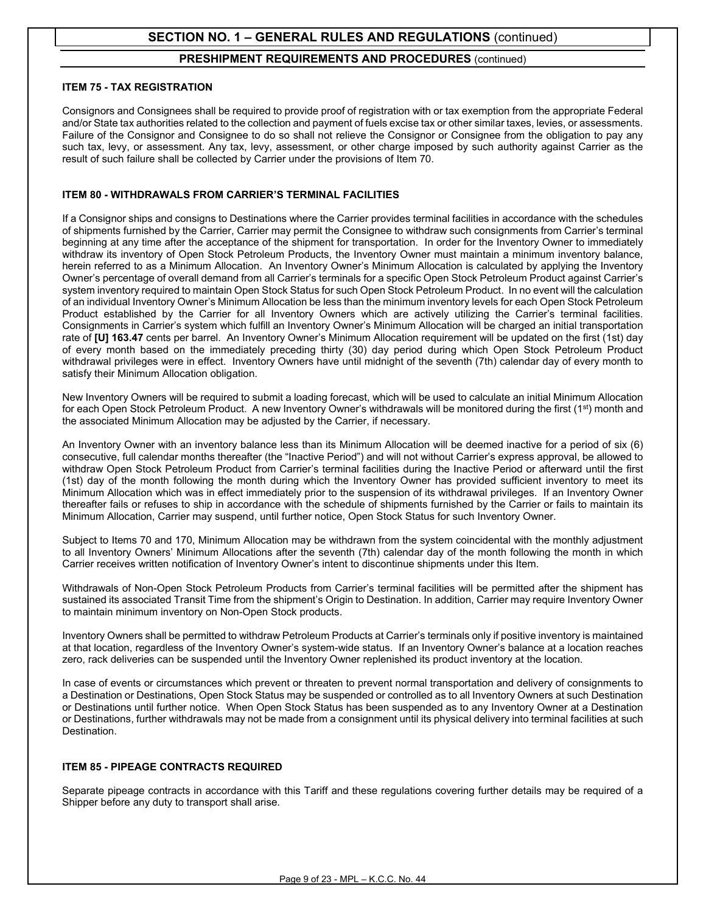#### **PRESHIPMENT REQUIREMENTS AND PROCEDURES** (continued)

#### **ITEM 75 - TAX REGISTRATION**

Consignors and Consignees shall be required to provide proof of registration with or tax exemption from the appropriate Federal and/or State tax authorities related to the collection and payment of fuels excise tax or other similar taxes, levies, or assessments. Failure of the Consignor and Consignee to do so shall not relieve the Consignor or Consignee from the obligation to pay any such tax, levy, or assessment. Any tax, levy, assessment, or other charge imposed by such authority against Carrier as the result of such failure shall be collected by Carrier under the provisions of Item 70.

#### **ITEM 80 - WITHDRAWALS FROM CARRIER'S TERMINAL FACILITIES**

If a Consignor ships and consigns to Destinations where the Carrier provides terminal facilities in accordance with the schedules of shipments furnished by the Carrier, Carrier may permit the Consignee to withdraw such consignments from Carrier's terminal beginning at any time after the acceptance of the shipment for transportation. In order for the Inventory Owner to immediately withdraw its inventory of Open Stock Petroleum Products, the Inventory Owner must maintain a minimum inventory balance, herein referred to as a Minimum Allocation. An Inventory Owner's Minimum Allocation is calculated by applying the Inventory Owner's percentage of overall demand from all Carrier's terminals for a specific Open Stock Petroleum Product against Carrier's system inventory required to maintain Open Stock Status for such Open Stock Petroleum Product. In no event will the calculation of an individual Inventory Owner's Minimum Allocation be less than the minimum inventory levels for each Open Stock Petroleum Product established by the Carrier for all Inventory Owners which are actively utilizing the Carrier's terminal facilities. Consignments in Carrier's system which fulfill an Inventory Owner's Minimum Allocation will be charged an initial transportation rate of **[U] 163.47** cents per barrel. An Inventory Owner's Minimum Allocation requirement will be updated on the first (1st) day of every month based on the immediately preceding thirty (30) day period during which Open Stock Petroleum Product withdrawal privileges were in effect. Inventory Owners have until midnight of the seventh (7th) calendar day of every month to satisfy their Minimum Allocation obligation.

New Inventory Owners will be required to submit a loading forecast, which will be used to calculate an initial Minimum Allocation for each Open Stock Petroleum Product. A new Inventory Owner's withdrawals will be monitored during the first  $(1<sup>st</sup>)$  month and the associated Minimum Allocation may be adjusted by the Carrier, if necessary.

An Inventory Owner with an inventory balance less than its Minimum Allocation will be deemed inactive for a period of six (6) consecutive, full calendar months thereafter (the "Inactive Period") and will not without Carrier's express approval, be allowed to withdraw Open Stock Petroleum Product from Carrier's terminal facilities during the Inactive Period or afterward until the first (1st) day of the month following the month during which the Inventory Owner has provided sufficient inventory to meet its Minimum Allocation which was in effect immediately prior to the suspension of its withdrawal privileges. If an Inventory Owner thereafter fails or refuses to ship in accordance with the schedule of shipments furnished by the Carrier or fails to maintain its Minimum Allocation, Carrier may suspend, until further notice, Open Stock Status for such Inventory Owner.

Subject to Items 70 and 170, Minimum Allocation may be withdrawn from the system coincidental with the monthly adjustment to all Inventory Owners' Minimum Allocations after the seventh (7th) calendar day of the month following the month in which Carrier receives written notification of Inventory Owner's intent to discontinue shipments under this Item.

Withdrawals of Non-Open Stock Petroleum Products from Carrier's terminal facilities will be permitted after the shipment has sustained its associated Transit Time from the shipment's Origin to Destination. In addition, Carrier may require Inventory Owner to maintain minimum inventory on Non-Open Stock products.

Inventory Owners shall be permitted to withdraw Petroleum Products at Carrier's terminals only if positive inventory is maintained at that location, regardless of the Inventory Owner's system-wide status. If an Inventory Owner's balance at a location reaches zero, rack deliveries can be suspended until the Inventory Owner replenished its product inventory at the location.

In case of events or circumstances which prevent or threaten to prevent normal transportation and delivery of consignments to a Destination or Destinations, Open Stock Status may be suspended or controlled as to all Inventory Owners at such Destination or Destinations until further notice. When Open Stock Status has been suspended as to any Inventory Owner at a Destination or Destinations, further withdrawals may not be made from a consignment until its physical delivery into terminal facilities at such Destination.

#### **ITEM 85 - PIPEAGE CONTRACTS REQUIRED**

Separate pipeage contracts in accordance with this Tariff and these regulations covering further details may be required of a Shipper before any duty to transport shall arise.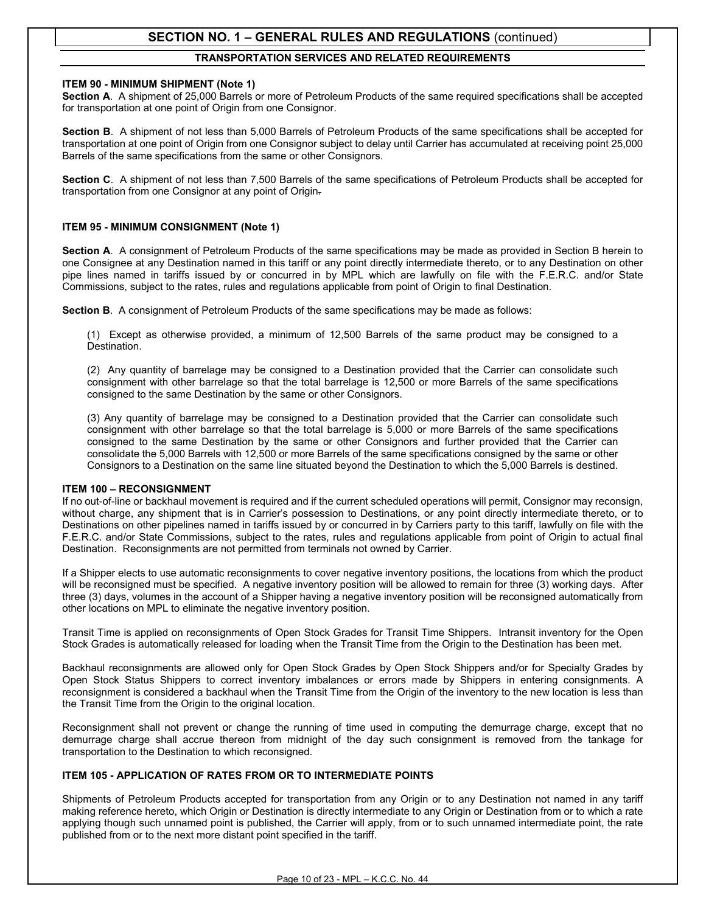#### **TRANSPORTATION SERVICES AND RELATED REQUIREMENTS**

#### **ITEM 90 - MINIMUM SHIPMENT (Note 1)**

**Section A**. A shipment of 25,000 Barrels or more of Petroleum Products of the same required specifications shall be accepted for transportation at one point of Origin from one Consignor.

**Section B**. A shipment of not less than 5,000 Barrels of Petroleum Products of the same specifications shall be accepted for transportation at one point of Origin from one Consignor subject to delay until Carrier has accumulated at receiving point 25,000 Barrels of the same specifications from the same or other Consignors.

**Section C**. A shipment of not less than 7,500 Barrels of the same specifications of Petroleum Products shall be accepted for transportation from one Consignor at any point of Origin.

#### **ITEM 95 - MINIMUM CONSIGNMENT (Note 1)**

**Section A**. A consignment of Petroleum Products of the same specifications may be made as provided in Section B herein to one Consignee at any Destination named in this tariff or any point directly intermediate thereto, or to any Destination on other pipe lines named in tariffs issued by or concurred in by MPL which are lawfully on file with the F.E.R.C. and/or State Commissions, subject to the rates, rules and regulations applicable from point of Origin to final Destination.

**Section B**.A consignment of Petroleum Products of the same specifications may be made as follows:

(1) Except as otherwise provided, a minimum of 12,500 Barrels of the same product may be consigned to a Destination.

(2) Any quantity of barrelage may be consigned to a Destination provided that the Carrier can consolidate such consignment with other barrelage so that the total barrelage is 12,500 or more Barrels of the same specifications consigned to the same Destination by the same or other Consignors.

(3) Any quantity of barrelage may be consigned to a Destination provided that the Carrier can consolidate such consignment with other barrelage so that the total barrelage is 5,000 or more Barrels of the same specifications consigned to the same Destination by the same or other Consignors and further provided that the Carrier can consolidate the 5,000 Barrels with 12,500 or more Barrels of the same specifications consigned by the same or other Consignors to a Destination on the same line situated beyond the Destination to which the 5,000 Barrels is destined.

#### **ITEM 100 – RECONSIGNMENT**

If no out-of-line or backhaul movement is required and if the current scheduled operations will permit, Consignor may reconsign, without charge, any shipment that is in Carrier's possession to Destinations, or any point directly intermediate thereto, or to Destinations on other pipelines named in tariffs issued by or concurred in by Carriers party to this tariff, lawfully on file with the F.E.R.C. and/or State Commissions, subject to the rates, rules and regulations applicable from point of Origin to actual final Destination. Reconsignments are not permitted from terminals not owned by Carrier.

If a Shipper elects to use automatic reconsignments to cover negative inventory positions, the locations from which the product will be reconsigned must be specified. A negative inventory position will be allowed to remain for three (3) working days. After three (3) days, volumes in the account of a Shipper having a negative inventory position will be reconsigned automatically from other locations on MPL to eliminate the negative inventory position.

Transit Time is applied on reconsignments of Open Stock Grades for Transit Time Shippers. Intransit inventory for the Open Stock Grades is automatically released for loading when the Transit Time from the Origin to the Destination has been met.

Backhaul reconsignments are allowed only for Open Stock Grades by Open Stock Shippers and/or for Specialty Grades by Open Stock Status Shippers to correct inventory imbalances or errors made by Shippers in entering consignments. A reconsignment is considered a backhaul when the Transit Time from the Origin of the inventory to the new location is less than the Transit Time from the Origin to the original location.

Reconsignment shall not prevent or change the running of time used in computing the demurrage charge, except that no demurrage charge shall accrue thereon from midnight of the day such consignment is removed from the tankage for transportation to the Destination to which reconsigned.

#### **ITEM 105 - APPLICATION OF RATES FROM OR TO INTERMEDIATE POINTS**

Shipments of Petroleum Products accepted for transportation from any Origin or to any Destination not named in any tariff making reference hereto, which Origin or Destination is directly intermediate to any Origin or Destination from or to which a rate applying though such unnamed point is published, the Carrier will apply, from or to such unnamed intermediate point, the rate published from or to the next more distant point specified in the tariff.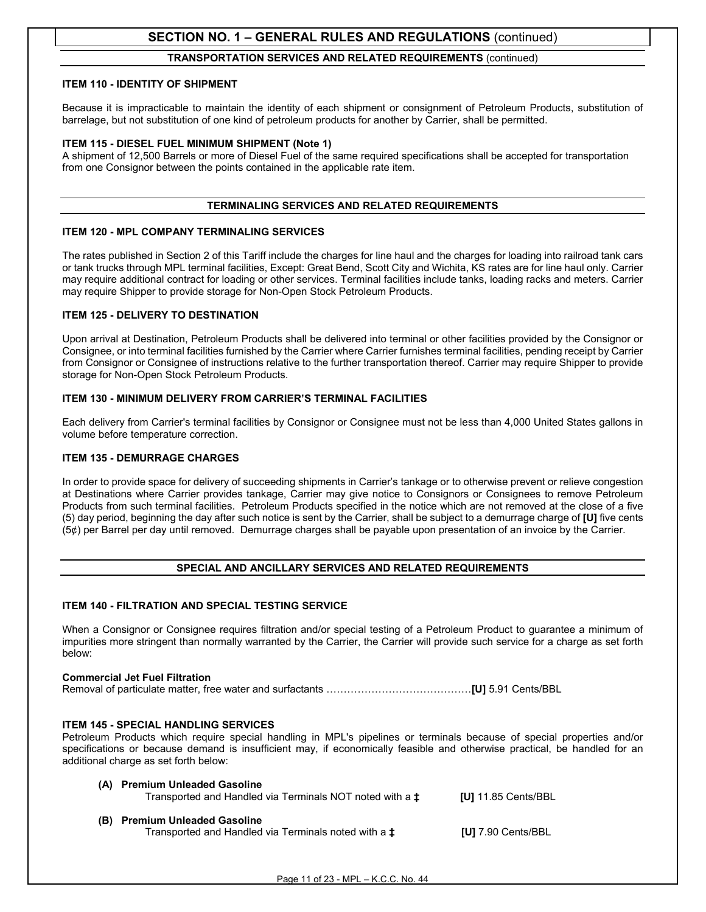#### **TRANSPORTATION SERVICES AND RELATED REQUIREMENTS** (continued)

#### **ITEM 110 - IDENTITY OF SHIPMENT**

Because it is impracticable to maintain the identity of each shipment or consignment of Petroleum Products, substitution of barrelage, but not substitution of one kind of petroleum products for another by Carrier, shall be permitted.

#### **ITEM 115 - DIESEL FUEL MINIMUM SHIPMENT (Note 1)**

A shipment of 12,500 Barrels or more of Diesel Fuel of the same required specifications shall be accepted for transportation from one Consignor between the points contained in the applicable rate item.

#### **TERMINALING SERVICES AND RELATED REQUIREMENTS**

#### **ITEM 120 - MPL COMPANY TERMINALING SERVICES**

The rates published in Section 2 of this Tariff include the charges for line haul and the charges for loading into railroad tank cars or tank trucks through MPL terminal facilities, Except: Great Bend, Scott City and Wichita, KS rates are for line haul only. Carrier may require additional contract for loading or other services. Terminal facilities include tanks, loading racks and meters. Carrier may require Shipper to provide storage for Non-Open Stock Petroleum Products.

#### **ITEM 125 - DELIVERY TO DESTINATION**

Upon arrival at Destination, Petroleum Products shall be delivered into terminal or other facilities provided by the Consignor or Consignee, or into terminal facilities furnished by the Carrier where Carrier furnishes terminal facilities, pending receipt by Carrier from Consignor or Consignee of instructions relative to the further transportation thereof. Carrier may require Shipper to provide storage for Non-Open Stock Petroleum Products.

#### **ITEM 130 - MINIMUM DELIVERY FROM CARRIER'S TERMINAL FACILITIES**

Each delivery from Carrier's terminal facilities by Consignor or Consignee must not be less than 4,000 United States gallons in volume before temperature correction.

#### **ITEM 135 - DEMURRAGE CHARGES**

In order to provide space for delivery of succeeding shipments in Carrier's tankage or to otherwise prevent or relieve congestion at Destinations where Carrier provides tankage, Carrier may give notice to Consignors or Consignees to remove Petroleum Products from such terminal facilities. Petroleum Products specified in the notice which are not removed at the close of a five (5) day period, beginning the day after such notice is sent by the Carrier, shall be subject to a demurrage charge of **[U]** five cents (5¢) per Barrel per day until removed. Demurrage charges shall be payable upon presentation of an invoice by the Carrier.

#### **SPECIAL AND ANCILLARY SERVICES AND RELATED REQUIREMENTS**

#### **ITEM 140 - FILTRATION AND SPECIAL TESTING SERVICE**

When a Consignor or Consignee requires filtration and/or special testing of a Petroleum Product to guarantee a minimum of impurities more stringent than normally warranted by the Carrier, the Carrier will provide such service for a charge as set forth below:

#### **Commercial Jet Fuel Filtration** Removal of particulate matter, free water and surfactants ……………………………………**[U]** 5.91 Cents/BBL

#### **ITEM 145 - SPECIAL HANDLING SERVICES**

Petroleum Products which require special handling in MPL's pipelines or terminals because of special properties and/or specifications or because demand is insufficient may, if economically feasible and otherwise practical, be handled for an additional charge as set forth below:

| (A) Premium Unleaded Gasoline<br>Transported and Handled via Terminals NOT noted with a <b>±</b> | $IUI$ 11.85 Cents/BBL     |
|--------------------------------------------------------------------------------------------------|---------------------------|
| (B) Premium Unleaded Gasoline<br>Transported and Handled via Terminals noted with a $\ddagger$   | <b>[U]</b> 7.90 Cents/BBL |

Page 11 of 23 - MPL – K.C.C. No. 44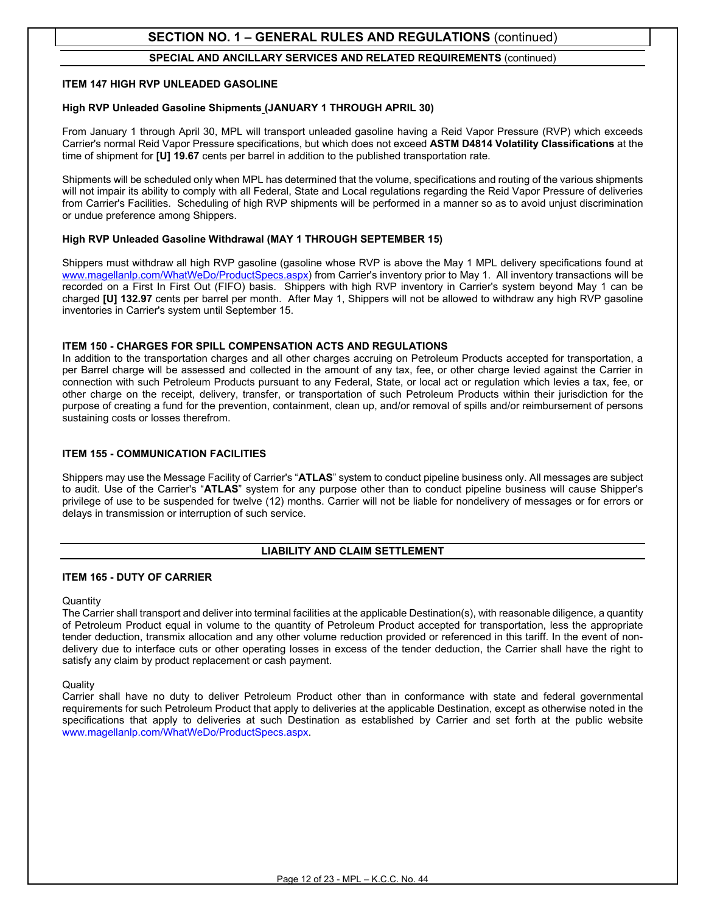#### **SPECIAL AND ANCILLARY SERVICES AND RELATED REQUIREMENTS** (continued)

#### **ITEM 147 HIGH RVP UNLEADED GASOLINE**

#### **High RVP Unleaded Gasoline Shipments (JANUARY 1 THROUGH APRIL 30)**

From January 1 through April 30, MPL will transport unleaded gasoline having a Reid Vapor Pressure (RVP) which exceeds Carrier's normal Reid Vapor Pressure specifications, but which does not exceed **ASTM D4814 Volatility Classifications** at the time of shipment for **[U] 19.67** cents per barrel in addition to the published transportation rate.

Shipments will be scheduled only when MPL has determined that the volume, specifications and routing of the various shipments will not impair its ability to comply with all Federal, State and Local regulations regarding the Reid Vapor Pressure of deliveries from Carrier's Facilities. Scheduling of high RVP shipments will be performed in a manner so as to avoid unjust discrimination or undue preference among Shippers.

#### **High RVP Unleaded Gasoline Withdrawal (MAY 1 THROUGH SEPTEMBER 15)**

Shippers must withdraw all high RVP gasoline (gasoline whose RVP is above the May 1 MPL delivery specifications found at [www.magellanlp.com/WhatWeDo/ProductSpecs.aspx\)](http://www.magellanlp.com/WhatWeDo/ProductSpecs.aspx) from Carrier's inventory prior to May 1. All inventory transactions will be recorded on a First In First Out (FIFO) basis. Shippers with high RVP inventory in Carrier's system beyond May 1 can be charged **[U] 132.97** cents per barrel per month. After May 1, Shippers will not be allowed to withdraw any high RVP gasoline inventories in Carrier's system until September 15.

#### **ITEM 150 - CHARGES FOR SPILL COMPENSATION ACTS AND REGULATIONS**

In addition to the transportation charges and all other charges accruing on Petroleum Products accepted for transportation, a per Barrel charge will be assessed and collected in the amount of any tax, fee, or other charge levied against the Carrier in connection with such Petroleum Products pursuant to any Federal, State, or local act or regulation which levies a tax, fee, or other charge on the receipt, delivery, transfer, or transportation of such Petroleum Products within their jurisdiction for the purpose of creating a fund for the prevention, containment, clean up, and/or removal of spills and/or reimbursement of persons sustaining costs or losses therefrom.

#### **ITEM 155 - COMMUNICATION FACILITIES**

Shippers may use the Message Facility of Carrier's "**ATLAS**" system to conduct pipeline business only. All messages are subject to audit. Use of the Carrier's "**ATLAS**" system for any purpose other than to conduct pipeline business will cause Shipper's privilege of use to be suspended for twelve (12) months. Carrier will not be liable for nondelivery of messages or for errors or delays in transmission or interruption of such service.

#### **LIABILITY AND CLAIM SETTLEMENT**

#### **ITEM 165 - DUTY OF CARRIER**

#### **Quantity**

The Carrier shall transport and deliver into terminal facilities at the applicable Destination(s), with reasonable diligence, a quantity of Petroleum Product equal in volume to the quantity of Petroleum Product accepted for transportation, less the appropriate tender deduction, transmix allocation and any other volume reduction provided or referenced in this tariff. In the event of nondelivery due to interface cuts or other operating losses in excess of the tender deduction, the Carrier shall have the right to satisfy any claim by product replacement or cash payment.

#### **Quality**

Carrier shall have no duty to deliver Petroleum Product other than in conformance with state and federal governmental requirements for such Petroleum Product that apply to deliveries at the applicable Destination, except as otherwise noted in the specifications that apply to deliveries at such Destination as established by Carrier and set forth at the public website [www.magellanlp.com/WhatWeDo/ProductSpecs.aspx.](http://www.magellanlp.com/WhatWeDo/ProductSpecs.aspx)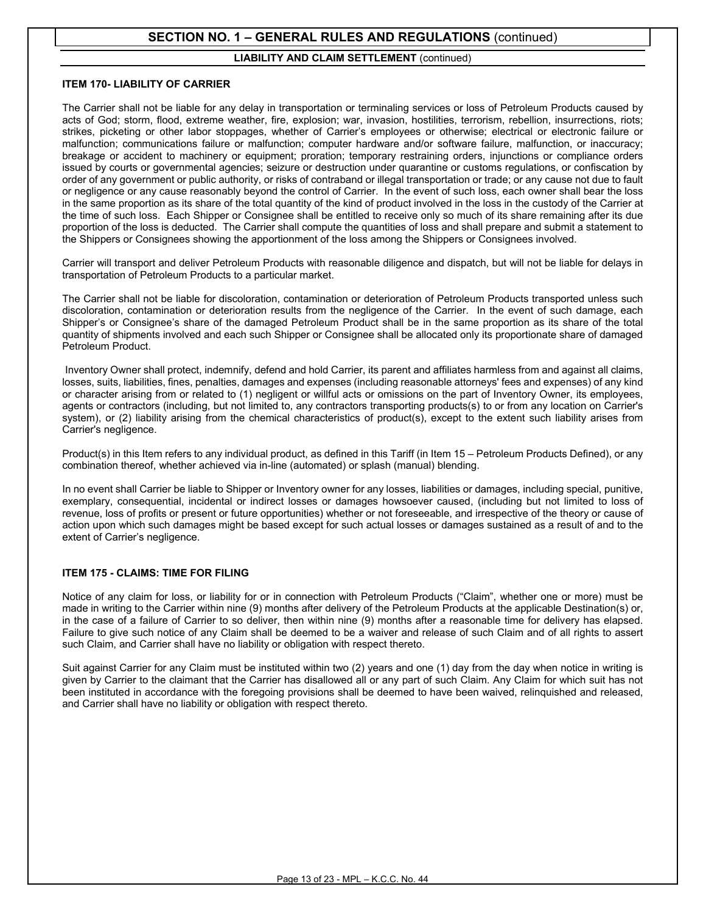#### **LIABILITY AND CLAIM SETTLEMENT** (continued)

#### **ITEM 170- LIABILITY OF CARRIER**

The Carrier shall not be liable for any delay in transportation or terminaling services or loss of Petroleum Products caused by acts of God; storm, flood, extreme weather, fire, explosion; war, invasion, hostilities, terrorism, rebellion, insurrections, riots; strikes, picketing or other labor stoppages, whether of Carrier's employees or otherwise; electrical or electronic failure or malfunction; communications failure or malfunction; computer hardware and/or software failure, malfunction, or inaccuracy; breakage or accident to machinery or equipment; proration; temporary restraining orders, injunctions or compliance orders issued by courts or governmental agencies; seizure or destruction under quarantine or customs regulations, or confiscation by order of any government or public authority, or risks of contraband or illegal transportation or trade; or any cause not due to fault or negligence or any cause reasonably beyond the control of Carrier. In the event of such loss, each owner shall bear the loss in the same proportion as its share of the total quantity of the kind of product involved in the loss in the custody of the Carrier at the time of such loss. Each Shipper or Consignee shall be entitled to receive only so much of its share remaining after its due proportion of the loss is deducted. The Carrier shall compute the quantities of loss and shall prepare and submit a statement to the Shippers or Consignees showing the apportionment of the loss among the Shippers or Consignees involved.

Carrier will transport and deliver Petroleum Products with reasonable diligence and dispatch, but will not be liable for delays in transportation of Petroleum Products to a particular market.

The Carrier shall not be liable for discoloration, contamination or deterioration of Petroleum Products transported unless such discoloration, contamination or deterioration results from the negligence of the Carrier. In the event of such damage, each Shipper's or Consignee's share of the damaged Petroleum Product shall be in the same proportion as its share of the total quantity of shipments involved and each such Shipper or Consignee shall be allocated only its proportionate share of damaged Petroleum Product.

Inventory Owner shall protect, indemnify, defend and hold Carrier, its parent and affiliates harmless from and against all claims, losses, suits, liabilities, fines, penalties, damages and expenses (including reasonable attorneys' fees and expenses) of any kind or character arising from or related to (1) negligent or willful acts or omissions on the part of Inventory Owner, its employees, agents or contractors (including, but not limited to, any contractors transporting products(s) to or from any location on Carrier's system), or (2) liability arising from the chemical characteristics of product(s), except to the extent such liability arises from Carrier's negligence.

Product(s) in this Item refers to any individual product, as defined in this Tariff (in Item 15 – Petroleum Products Defined), or any combination thereof, whether achieved via in-line (automated) or splash (manual) blending.

In no event shall Carrier be liable to Shipper or Inventory owner for any losses, liabilities or damages, including special, punitive, exemplary, consequential, incidental or indirect losses or damages howsoever caused, (including but not limited to loss of revenue, loss of profits or present or future opportunities) whether or not foreseeable, and irrespective of the theory or cause of action upon which such damages might be based except for such actual losses or damages sustained as a result of and to the extent of Carrier's negligence.

#### **ITEM 175 - CLAIMS: TIME FOR FILING**

Notice of any claim for loss, or liability for or in connection with Petroleum Products ("Claim", whether one or more) must be made in writing to the Carrier within nine (9) months after delivery of the Petroleum Products at the applicable Destination(s) or, in the case of a failure of Carrier to so deliver, then within nine (9) months after a reasonable time for delivery has elapsed. Failure to give such notice of any Claim shall be deemed to be a waiver and release of such Claim and of all rights to assert such Claim, and Carrier shall have no liability or obligation with respect thereto.

Suit against Carrier for any Claim must be instituted within two (2) years and one (1) day from the day when notice in writing is given by Carrier to the claimant that the Carrier has disallowed all or any part of such Claim. Any Claim for which suit has not been instituted in accordance with the foregoing provisions shall be deemed to have been waived, relinquished and released, and Carrier shall have no liability or obligation with respect thereto.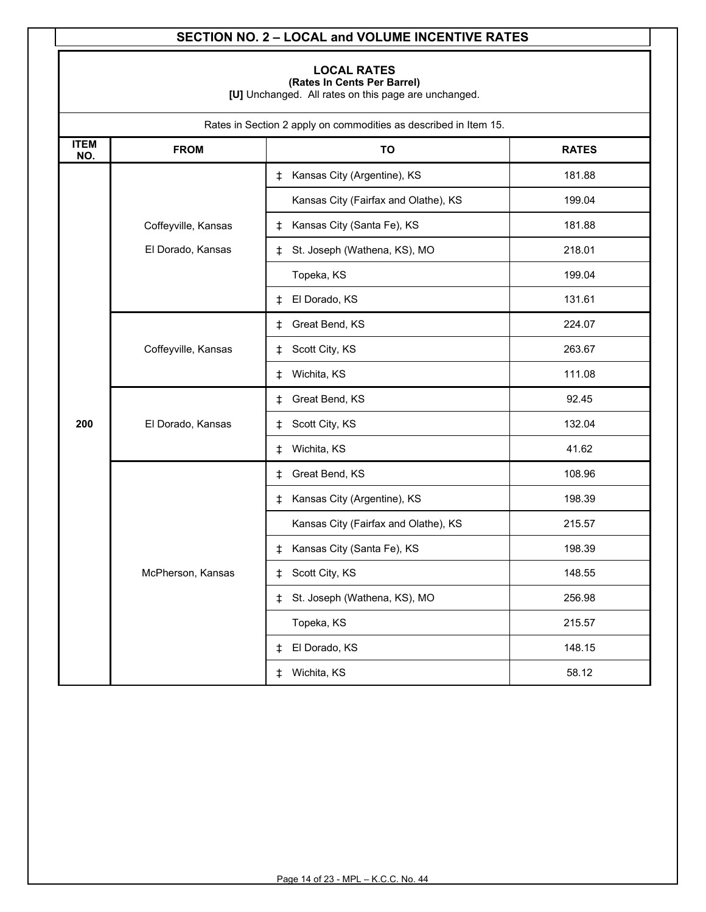### **SECTION NO. 2 – LOCAL and VOLUME INCENTIVE RATES**

### **LOCAL RATES**

**(Rates In Cents Per Barrel)**

**[U]** Unchanged. All rates on this page are unchanged.

| Rates in Section 2 apply on commodities as described in Item 15. |                     |                                      |              |  |
|------------------------------------------------------------------|---------------------|--------------------------------------|--------------|--|
| <b>ITEM</b><br>NO.                                               | <b>FROM</b>         | TO                                   | <b>RATES</b> |  |
|                                                                  |                     | Kansas City (Argentine), KS<br>ŧ     | 181.88       |  |
|                                                                  |                     | Kansas City (Fairfax and Olathe), KS | 199.04       |  |
|                                                                  | Coffeyville, Kansas | Kansas City (Santa Fe), KS<br>ŧ      | 181.88       |  |
|                                                                  | El Dorado, Kansas   | St. Joseph (Wathena, KS), MO<br>ŧ    | 218.01       |  |
|                                                                  |                     | Topeka, KS                           | 199.04       |  |
|                                                                  |                     | El Dorado, KS<br>ŧ                   | 131.61       |  |
|                                                                  |                     | Great Bend, KS<br>ŧ                  | 224.07       |  |
|                                                                  | Coffeyville, Kansas | Scott City, KS<br>ŧ                  | 263.67       |  |
|                                                                  |                     | Wichita, KS<br>ŧ                     | 111.08       |  |
| 200                                                              |                     | Great Bend, KS<br>ŧ                  | 92.45        |  |
|                                                                  | El Dorado, Kansas   | Scott City, KS<br>ŧ                  | 132.04       |  |
|                                                                  |                     | Wichita, KS<br>ŧ                     | 41.62        |  |
|                                                                  |                     | Great Bend, KS<br>ŧ                  | 108.96       |  |
|                                                                  |                     | Kansas City (Argentine), KS<br>ŧ.    | 198.39       |  |
|                                                                  |                     | Kansas City (Fairfax and Olathe), KS | 215.57       |  |
|                                                                  |                     | Kansas City (Santa Fe), KS<br>ŧ      | 198.39       |  |
|                                                                  | McPherson, Kansas   | Scott City, KS<br>ŧ                  | 148.55       |  |
|                                                                  |                     | St. Joseph (Wathena, KS), MO<br>ŧ    | 256.98       |  |
|                                                                  |                     | Topeka, KS                           | 215.57       |  |
|                                                                  |                     | El Dorado, KS<br>‡                   | 148.15       |  |
|                                                                  |                     | Wichita, KS<br>ŧ                     | 58.12        |  |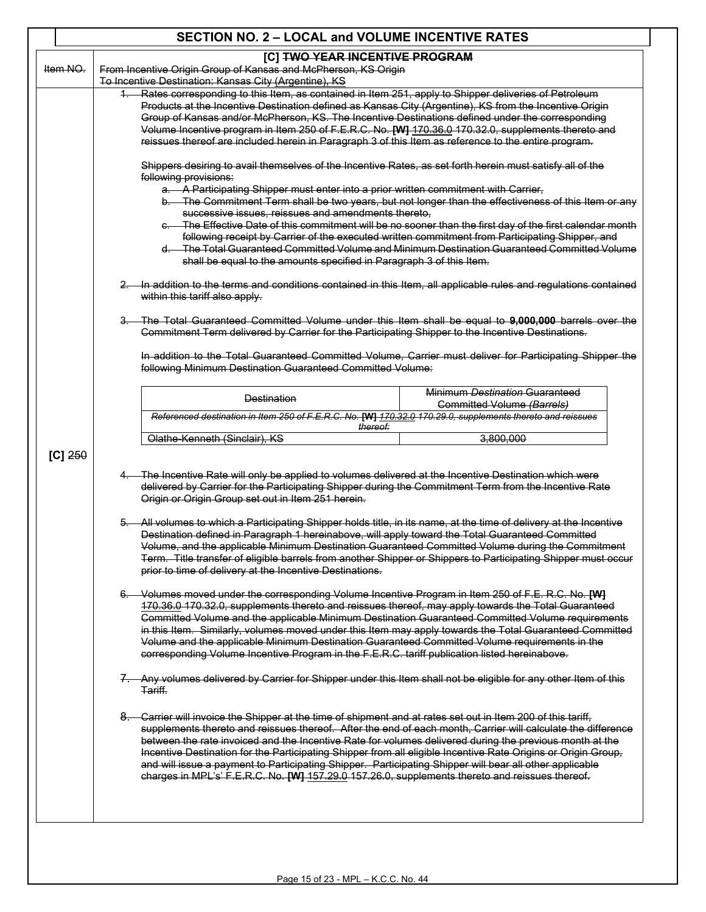### **SECTION NO. 2 – LOCAL and VOLUME INCENTIVE RATES** Item NO. **[C] TWO YEAR INCENTIVE PROGRAM** From Incentive Origin Group of Kansas and McPherson, KS Origin To Incentive Destination: Kansas City (Argentine), KS **[C]** 250 Rates corresponding to this Item, as contained in Item 251, apply to Shipper deliveries of Petroleum Products at the Incentive Destination defined as Kansas City (Argentine), KS from the Incentive Origin Group of Kansas and/or McPherson, KS. The Incentive Destinations defined under the corresponding Volume Incentive program in Item 250 of F.E.R.C. No. **[W]** 170.36.0 170.32.0, supplements thereto and reissues thereof are included herein in Paragraph 3 of this Item as reference to the entire program. Shippers desiring to avail themselves of the Incentive Rates, as set forth herein must satisfy all of the following provisions:  $-A$  Participating Shipper must enter into a prior written commitment with Carrier, The Commitment Term shall be two years, but not longer than the effectiveness of this Item or any successive issues, reissues and amendments thereto, The Effective Date of this commitment will be no sooner than the first day of the first calendar month following receipt by Carrier of the executed written commitment from Participating Shipper, and d. The Total Guaranteed Committed Volume and Minimum Destination Guaranteed Committed Volume shall be equal to the amounts specified in Paragraph 3 of this Item. In addition to the terms and conditions contained in this Item, all applicable rules and regulations contained within this tariff also apply. 3. The Total Guaranteed Committed Volume under this Item shall be equal to **9,000,000** barrels over the Commitment Term delivered by Carrier for the Participating Shipper to the Incentive Destinations. In addition to the Total Guaranteed Committed Volume, Carrier must deliver for Participating Shipper the following Minimum Destination Guaranteed Committed Volume: Destination Minimum *Destination* Guaranteed Committed Volume *(Barrels) Referenced destination in Item 250 of F.E.R.C. No.* **[W]** *170.32.0 170.29.0, supplements thereto and reissues thereof:* Olathe-Kenneth (Sinclair), KS 3,800,000 The Incentive Rate will only be applied to volumes delivered at the Incentive Destination which were delivered by Carrier for the Participating Shipper during the Commitment Term from the Incentive Rate Origin or Origin Group set out in Item 251 herein. All volumes to which a Participating Shipper holds title, in its name, at the time of delivery at the Incentive Destination defined in Paragraph 1 hereinabove, will apply toward the Total Guaranteed Committed Volume, and the applicable Minimum Destination Guaranteed Committed Volume during the Commitment Term. Title transfer of eligible barrels from another Shipper or Shippers to Participating Shipper must occur prior to time of delivery at the Incentive Destinations. 6. Volumes moved under the corresponding Volume Incentive Program in Item 250 of F.E. R.C. No. **[W]** 170.36.0 170.32.0, supplements thereto and reissues thereof, may apply towards the Total Guaranteed Committed Volume and the applicable Minimum Destination Guaranteed Committed Volume requirements in this Item. Similarly, volumes moved under this Item may apply towards the Total Guaranteed Committed Volume and the applicable Minimum Destination Guaranteed Committed Volume requirements in the corresponding Volume Incentive Program in the F.E.R.C. tariff publication listed hereinabove. 7. Any volumes delivered by Carrier for Shipper under this Item shall not be eligible for any other Item of this Tariff. 8. Carrier will invoice the Shipper at the time of shipment and at rates set out in Item 200 of this tariff, supplements thereto and reissues thereof. After the end of each month, Carrier will calculate the difference between the rate invoiced and the Incentive Rate for volumes delivered during the previous month at the Incentive Destination for the Participating Shipper from all eligible Incentive Rate Origins or Origin Group, and will issue a payment to Participating Shipper. Participating Shipper will bear all other applicable charges in MPL's' F.E.R.C. No. **[W]** 157.29.0 157.26.0, supplements thereto and reissues thereof.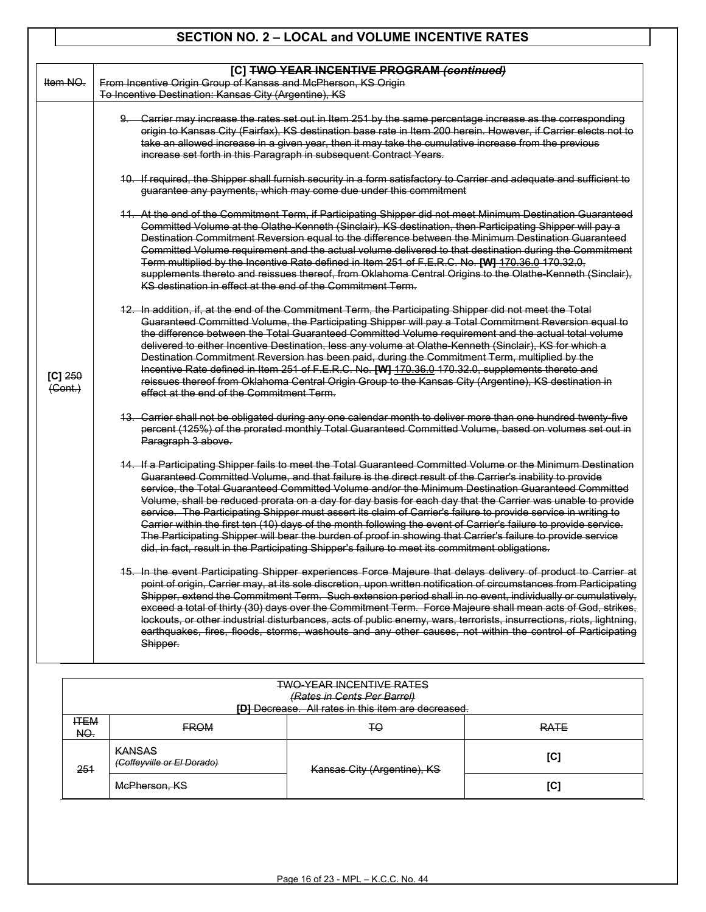## **SECTION NO. 2 – LOCAL and VOLUME INCENTIVE RATES**

| Item NO.                                 | From Incentive Origin Group of Kansas and McPherson, KS Origin<br>To Incentive Destination: Kansas City (Argentine), KS                                                                                                                                                                                                                                                                                                                                                                                                                                                                                                                                                                                                                                                                                                                                                                                                                                                                                                                                                                                                                                                                                                                                                                                                                                                                                                                                                                                                                                                                                                                                                                                                                                                                                                                                                                                                                                                                                                                                                                                                                 |
|------------------------------------------|-----------------------------------------------------------------------------------------------------------------------------------------------------------------------------------------------------------------------------------------------------------------------------------------------------------------------------------------------------------------------------------------------------------------------------------------------------------------------------------------------------------------------------------------------------------------------------------------------------------------------------------------------------------------------------------------------------------------------------------------------------------------------------------------------------------------------------------------------------------------------------------------------------------------------------------------------------------------------------------------------------------------------------------------------------------------------------------------------------------------------------------------------------------------------------------------------------------------------------------------------------------------------------------------------------------------------------------------------------------------------------------------------------------------------------------------------------------------------------------------------------------------------------------------------------------------------------------------------------------------------------------------------------------------------------------------------------------------------------------------------------------------------------------------------------------------------------------------------------------------------------------------------------------------------------------------------------------------------------------------------------------------------------------------------------------------------------------------------------------------------------------------|
|                                          |                                                                                                                                                                                                                                                                                                                                                                                                                                                                                                                                                                                                                                                                                                                                                                                                                                                                                                                                                                                                                                                                                                                                                                                                                                                                                                                                                                                                                                                                                                                                                                                                                                                                                                                                                                                                                                                                                                                                                                                                                                                                                                                                         |
| $[C]$ 250<br>$\left(\text{Cont.}\right)$ | 9. Carrier may increase the rates set out in Item 251 by the same percentage increase as the corresponding<br>origin to Kansas City (Fairfax), KS destination base rate in Item 200 herein. However, if Carrier elects not to<br>take an allowed increase in a given year, then it may take the cumulative increase from the previous<br>increase set forth in this Paragraph in subsequent Contract Years.<br>10. If required, the Shipper shall furnish security in a form satisfactory to Carrier and adequate and sufficient to<br>guarantee any payments, which may come due under this commitment<br>11. At the end of the Commitment Term, if Participating Shipper did not meet Minimum Destination Guaranteed<br>Committed Volume at the Olathe Kenneth (Sinclair), KS destination, then Participating Shipper will pay a<br>Destination Commitment Reversion equal to the difference between the Minimum Destination Guaranteed<br>Committed Volume requirement and the actual volume delivered to that destination during the Commitment<br>Term multiplied by the Incentive Rate defined in Item 251 of F.E.R.C. No. [W] 170.36.0 170.32.0,<br>supplements thereto and reissues thereof, from Oklahoma Central Origins to the Olathe-Kenneth (Sinclair),<br>KS destination in effect at the end of the Commitment Term.<br>12. In addition, if, at the end of the Commitment Term, the Participating Shipper did not meet the Total<br>Guaranteed Committed Volume, the Participating Shipper will pay a Total Commitment Reversion equal to<br>the difference between the Total Guaranteed Committed Volume requirement and the actual total volume<br>delivered to either Incentive Destination, less any volume at Olathe Kenneth (Sinclair), KS for which a<br>Destination Commitment Reversion has been paid, during the Commitment Term, multiplied by the<br>Incentive Rate defined in Item 251 of F.E.R.C. No. [W] 170.36.0 170.32.0, supplements thereto and<br>reissues thereof from Oklahoma Central Origin Group to the Kansas City (Argentine), KS destination in<br>effect at the end of the Commitment Term. |
|                                          | 13. Carrier shall not be obligated during any one calendar month to deliver more than one hundred twenty-five<br>percent (125%) of the prorated monthly Total Guaranteed Committed Volume, based on volumes set out in<br>Paragraph 3 above.<br>14. If a Participating Shipper fails to meet the Total Guaranteed Committed Volume or the Minimum Destination<br>Guaranteed Committed Volume, and that failure is the direct result of the Carrier's inability to provide<br>service, the Total Guaranteed Committed Volume and/or the Minimum Destination Guaranteed Committed<br>Volume, shall be reduced prorata on a day for day basis for each day that the Carrier was unable to provide<br>service. The Participating Shipper must assert its claim of Carrier's failure to provide service in writing to<br>Carrier within the first ten (10) days of the month following the event of Carrier's failure to provide service.<br>The Participating Shipper will bear the burden of proof in showing that Carrier's failure to provide service<br>did, in fact, result in the Participating Shipper's failure to meet its commitment obligations.<br><u>15. In the event Participating Shipper experiences Force Majeure that delays delivery of product to Carrier at</u><br>point of origin, Carrier may, at its sole discretion, upon written notification of circumstances from Participating<br>Shipper, extend the Commitment Term. Such extension period shall in no event, individually or cumulatively,<br>exceed a total of thirty (30) days over the Commitment Term. Force Majeure shall mean acts of God, strikes,<br>lockouts, or other industrial disturbances, acts of public enemy, wars, terrorists, insurrections, riots, lightning,<br>earthquakes, fires, floods, storms, washouts and any other causes, not within the control of Participating<br>Shipper.                                                                                                                                                                                                                                                 |
|                                          | <b>TWO-YEAR INCENTIVE RATES</b>                                                                                                                                                                                                                                                                                                                                                                                                                                                                                                                                                                                                                                                                                                                                                                                                                                                                                                                                                                                                                                                                                                                                                                                                                                                                                                                                                                                                                                                                                                                                                                                                                                                                                                                                                                                                                                                                                                                                                                                                                                                                                                         |

| <del>*************************</del> **<br>(Rates in Cents Per Barrel)<br>[D] Decrease. All rates in this item are decreased. |                                                                            |    |             |  |
|-------------------------------------------------------------------------------------------------------------------------------|----------------------------------------------------------------------------|----|-------------|--|
| <b>ITEM</b><br>NO.                                                                                                            | <b>FROM</b>                                                                | ŦΘ | <b>RATE</b> |  |
| 251                                                                                                                           | <b>KANSAS</b><br>(Coffeyville or El Dorado)<br>Kansas City (Argentine), KS |    | [C]         |  |
|                                                                                                                               | McPherson, KS                                                              |    | [C]         |  |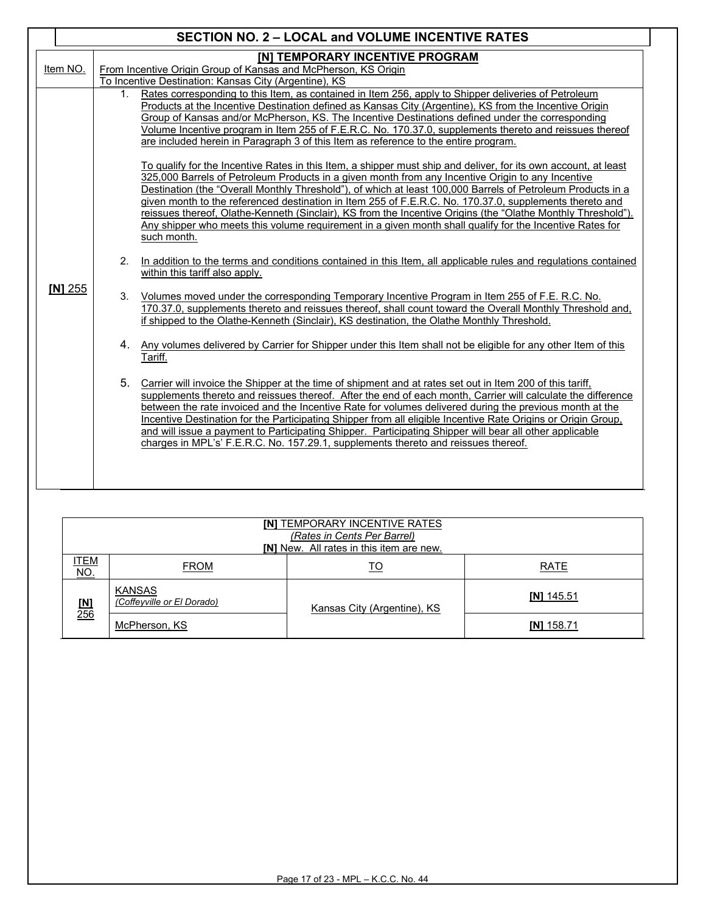| <b>SECTION NO. 2 - LOCAL and VOLUME INCENTIVE RATES</b> |                                                                                                                                                                                                                                                                                                                                                                                                                                                                                                                                                                                                                                                                                                                                                                                                                                                                                                                                                                                                                                                                                                                                                                                                                                                                                                                                                                                                                                                                                                                                                                                                                                                                                                                                                                                                                                                                                                                                                                                                                                                                                                                                                                                                                                                                                                                                                                                                                                                                                            |  |  |  |  |
|---------------------------------------------------------|--------------------------------------------------------------------------------------------------------------------------------------------------------------------------------------------------------------------------------------------------------------------------------------------------------------------------------------------------------------------------------------------------------------------------------------------------------------------------------------------------------------------------------------------------------------------------------------------------------------------------------------------------------------------------------------------------------------------------------------------------------------------------------------------------------------------------------------------------------------------------------------------------------------------------------------------------------------------------------------------------------------------------------------------------------------------------------------------------------------------------------------------------------------------------------------------------------------------------------------------------------------------------------------------------------------------------------------------------------------------------------------------------------------------------------------------------------------------------------------------------------------------------------------------------------------------------------------------------------------------------------------------------------------------------------------------------------------------------------------------------------------------------------------------------------------------------------------------------------------------------------------------------------------------------------------------------------------------------------------------------------------------------------------------------------------------------------------------------------------------------------------------------------------------------------------------------------------------------------------------------------------------------------------------------------------------------------------------------------------------------------------------------------------------------------------------------------------------------------------------|--|--|--|--|
| Item NO.                                                | <b>[N] TEMPORARY INCENTIVE PROGRAM</b><br>From Incentive Origin Group of Kansas and McPherson, KS Origin<br>To Incentive Destination: Kansas City (Argentine), KS                                                                                                                                                                                                                                                                                                                                                                                                                                                                                                                                                                                                                                                                                                                                                                                                                                                                                                                                                                                                                                                                                                                                                                                                                                                                                                                                                                                                                                                                                                                                                                                                                                                                                                                                                                                                                                                                                                                                                                                                                                                                                                                                                                                                                                                                                                                          |  |  |  |  |
| $[N]$ 255                                               | 1. Rates corresponding to this Item, as contained in Item 256, apply to Shipper deliveries of Petroleum<br>Products at the Incentive Destination defined as Kansas City (Argentine), KS from the Incentive Origin<br>Group of Kansas and/or McPherson, KS. The Incentive Destinations defined under the corresponding<br>Volume Incentive program in Item 255 of F.E.R.C. No. 170.37.0, supplements thereto and reissues thereof<br>are included herein in Paragraph 3 of this Item as reference to the entire program.<br>To qualify for the Incentive Rates in this Item, a shipper must ship and deliver, for its own account, at least<br>325,000 Barrels of Petroleum Products in a given month from any Incentive Origin to any Incentive<br>Destination (the "Overall Monthly Threshold"), of which at least 100,000 Barrels of Petroleum Products in a<br>given month to the referenced destination in Item 255 of F.E.R.C. No. 170.37.0, supplements thereto and<br>reissues thereof, Olathe-Kenneth (Sinclair), KS from the Incentive Origins (the "Olathe Monthly Threshold").<br>Any shipper who meets this volume requirement in a given month shall qualify for the Incentive Rates for<br>such month.<br>In addition to the terms and conditions contained in this Item, all applicable rules and regulations contained<br>2.<br>within this tariff also apply.<br>3. Volumes moved under the corresponding Temporary Incentive Program in Item 255 of F.E. R.C. No.<br>170.37.0. supplements thereto and reissues thereof, shall count toward the Overall Monthly Threshold and.<br>if shipped to the Olathe-Kenneth (Sinclair), KS destination, the Olathe Monthly Threshold.<br>4. Any volumes delivered by Carrier for Shipper under this Item shall not be eligible for any other Item of this<br>Tariff.<br>5. Carrier will invoice the Shipper at the time of shipment and at rates set out in Item 200 of this tariff.<br>supplements thereto and reissues thereof. After the end of each month, Carrier will calculate the difference<br>between the rate invoiced and the Incentive Rate for volumes delivered during the previous month at the<br>Incentive Destination for the Participating Shipper from all eligible Incentive Rate Origins or Origin Group,<br>and will issue a payment to Participating Shipper. Participating Shipper will bear all other applicable<br>charges in MPL's' F.E.R.C. No. 157.29.1. supplements thereto and reissues thereof. |  |  |  |  |

| <b>INI TEMPORARY INCENTIVE RATES</b><br>(Rates in Cents Per Barrel)<br><b>INI</b> New. All rates in this item are new. |                                             |                             |              |  |
|------------------------------------------------------------------------------------------------------------------------|---------------------------------------------|-----------------------------|--------------|--|
| <u>ITEM</u><br><u>NO.</u>                                                                                              | <b>FROM</b>                                 | <u>TO</u>                   | <b>RATE</b>  |  |
| [ <b>M</b> ]<br>256                                                                                                    | <b>KANSAS</b><br>(Coffeyville or El Dorado) | Kansas City (Argentine), KS | $[N]$ 145.51 |  |
|                                                                                                                        | McPherson, KS                               |                             | IN1 158.71   |  |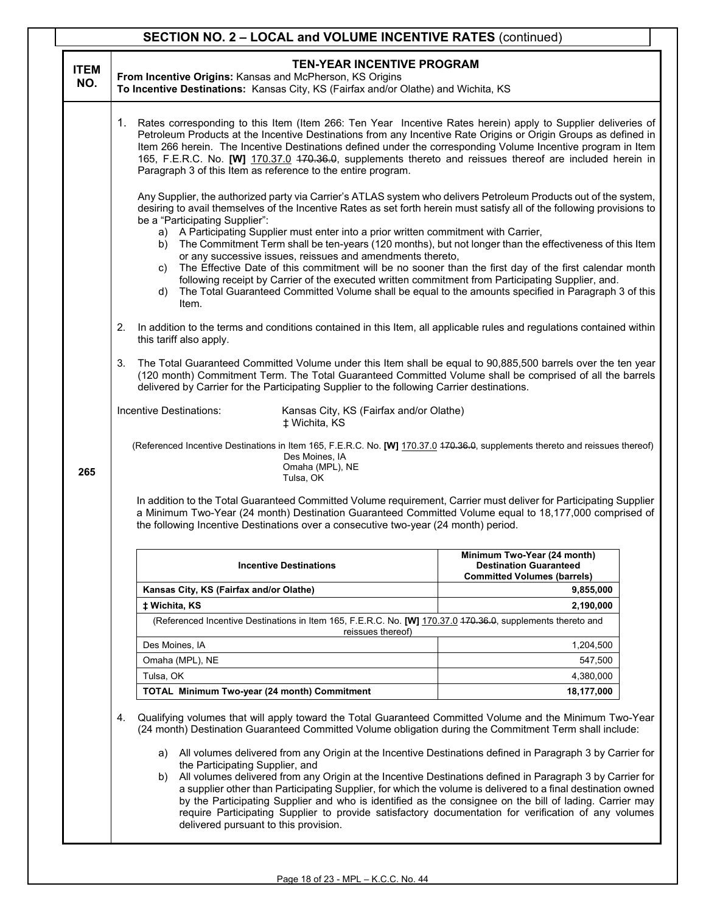|                    | <b>SECTION NO. 2 - LOCAL and VOLUME INCENTIVE RATES (continued)</b>                                                                                                                                                                                                                                                                                                                                                                                                                                                                                                                                                                                                                                                                                                                                                                                                                           |                                                                                                                                                                                                                                                                                                                                                                                                                                                                                                                                                                                                                                             |                                                                                                    |  |  |
|--------------------|-----------------------------------------------------------------------------------------------------------------------------------------------------------------------------------------------------------------------------------------------------------------------------------------------------------------------------------------------------------------------------------------------------------------------------------------------------------------------------------------------------------------------------------------------------------------------------------------------------------------------------------------------------------------------------------------------------------------------------------------------------------------------------------------------------------------------------------------------------------------------------------------------|---------------------------------------------------------------------------------------------------------------------------------------------------------------------------------------------------------------------------------------------------------------------------------------------------------------------------------------------------------------------------------------------------------------------------------------------------------------------------------------------------------------------------------------------------------------------------------------------------------------------------------------------|----------------------------------------------------------------------------------------------------|--|--|
| <b>ITEM</b><br>NO. |                                                                                                                                                                                                                                                                                                                                                                                                                                                                                                                                                                                                                                                                                                                                                                                                                                                                                               | <b>TEN-YEAR INCENTIVE PROGRAM</b><br>From Incentive Origins: Kansas and McPherson, KS Origins<br>To Incentive Destinations: Kansas City, KS (Fairfax and/or Olathe) and Wichita, KS                                                                                                                                                                                                                                                                                                                                                                                                                                                         |                                                                                                    |  |  |
|                    |                                                                                                                                                                                                                                                                                                                                                                                                                                                                                                                                                                                                                                                                                                                                                                                                                                                                                               | 1. Rates corresponding to this Item (Item 266: Ten Year Incentive Rates herein) apply to Supplier deliveries of<br>Petroleum Products at the Incentive Destinations from any Incentive Rate Origins or Origin Groups as defined in<br>Item 266 herein. The Incentive Destinations defined under the corresponding Volume Incentive program in Item<br>165, F.E.R.C. No. [W] 170.37.0 470.36.9, supplements thereto and reissues thereof are included herein in<br>Paragraph 3 of this Item as reference to the entire program.                                                                                                              |                                                                                                    |  |  |
|                    | Any Supplier, the authorized party via Carrier's ATLAS system who delivers Petroleum Products out of the system,<br>desiring to avail themselves of the Incentive Rates as set forth herein must satisfy all of the following provisions to<br>be a "Participating Supplier":<br>a) A Participating Supplier must enter into a prior written commitment with Carrier,<br>b) The Commitment Term shall be ten-years (120 months), but not longer than the effectiveness of this Item<br>or any successive issues, reissues and amendments thereto,<br>The Effective Date of this commitment will be no sooner than the first day of the first calendar month<br>C)<br>following receipt by Carrier of the executed written commitment from Participating Supplier, and.<br>The Total Guaranteed Committed Volume shall be equal to the amounts specified in Paragraph 3 of this<br>d)<br>Item. |                                                                                                                                                                                                                                                                                                                                                                                                                                                                                                                                                                                                                                             |                                                                                                    |  |  |
|                    | 2.                                                                                                                                                                                                                                                                                                                                                                                                                                                                                                                                                                                                                                                                                                                                                                                                                                                                                            | In addition to the terms and conditions contained in this Item, all applicable rules and regulations contained within<br>this tariff also apply.                                                                                                                                                                                                                                                                                                                                                                                                                                                                                            |                                                                                                    |  |  |
|                    | 3.                                                                                                                                                                                                                                                                                                                                                                                                                                                                                                                                                                                                                                                                                                                                                                                                                                                                                            | The Total Guaranteed Committed Volume under this Item shall be equal to 90,885,500 barrels over the ten year<br>(120 month) Commitment Term. The Total Guaranteed Committed Volume shall be comprised of all the barrels<br>delivered by Carrier for the Participating Supplier to the following Carrier destinations.                                                                                                                                                                                                                                                                                                                      |                                                                                                    |  |  |
|                    |                                                                                                                                                                                                                                                                                                                                                                                                                                                                                                                                                                                                                                                                                                                                                                                                                                                                                               | Incentive Destinations:<br>Kansas City, KS (Fairfax and/or Olathe)<br>± Wichita, KS                                                                                                                                                                                                                                                                                                                                                                                                                                                                                                                                                         |                                                                                                    |  |  |
| 265                |                                                                                                                                                                                                                                                                                                                                                                                                                                                                                                                                                                                                                                                                                                                                                                                                                                                                                               | (Referenced Incentive Destinations in Item 165, F.E.R.C. No. [W] 170.37.0 470.36.0, supplements thereto and reissues thereof)<br>Des Moines, IA<br>Omaha (MPL), NE<br>Tulsa, OK                                                                                                                                                                                                                                                                                                                                                                                                                                                             |                                                                                                    |  |  |
|                    |                                                                                                                                                                                                                                                                                                                                                                                                                                                                                                                                                                                                                                                                                                                                                                                                                                                                                               | In addition to the Total Guaranteed Committed Volume requirement, Carrier must deliver for Participating Supplier<br>a Minimum Two-Year (24 month) Destination Guaranteed Committed Volume equal to 18,177,000 comprised of<br>the following Incentive Destinations over a consecutive two-year (24 month) period.                                                                                                                                                                                                                                                                                                                          |                                                                                                    |  |  |
|                    |                                                                                                                                                                                                                                                                                                                                                                                                                                                                                                                                                                                                                                                                                                                                                                                                                                                                                               | <b>Incentive Destinations</b>                                                                                                                                                                                                                                                                                                                                                                                                                                                                                                                                                                                                               | Minimum Two-Year (24 month)<br><b>Destination Guaranteed</b><br><b>Committed Volumes (barrels)</b> |  |  |
|                    |                                                                                                                                                                                                                                                                                                                                                                                                                                                                                                                                                                                                                                                                                                                                                                                                                                                                                               | Kansas City, KS (Fairfax and/or Olathe)                                                                                                                                                                                                                                                                                                                                                                                                                                                                                                                                                                                                     | 9,855,000                                                                                          |  |  |
|                    |                                                                                                                                                                                                                                                                                                                                                                                                                                                                                                                                                                                                                                                                                                                                                                                                                                                                                               | ± Wichita, KS                                                                                                                                                                                                                                                                                                                                                                                                                                                                                                                                                                                                                               | 2,190,000                                                                                          |  |  |
|                    |                                                                                                                                                                                                                                                                                                                                                                                                                                                                                                                                                                                                                                                                                                                                                                                                                                                                                               | (Referenced Incentive Destinations in Item 165, F.E.R.C. No. [W] 170.37.0 470.36.0, supplements thereto and<br>reissues thereof)                                                                                                                                                                                                                                                                                                                                                                                                                                                                                                            |                                                                                                    |  |  |
|                    |                                                                                                                                                                                                                                                                                                                                                                                                                                                                                                                                                                                                                                                                                                                                                                                                                                                                                               | Des Moines, IA                                                                                                                                                                                                                                                                                                                                                                                                                                                                                                                                                                                                                              | 1,204,500                                                                                          |  |  |
|                    |                                                                                                                                                                                                                                                                                                                                                                                                                                                                                                                                                                                                                                                                                                                                                                                                                                                                                               | Omaha (MPL), NE                                                                                                                                                                                                                                                                                                                                                                                                                                                                                                                                                                                                                             | 547,500                                                                                            |  |  |
|                    |                                                                                                                                                                                                                                                                                                                                                                                                                                                                                                                                                                                                                                                                                                                                                                                                                                                                                               | Tulsa, OK                                                                                                                                                                                                                                                                                                                                                                                                                                                                                                                                                                                                                                   | 4,380,000                                                                                          |  |  |
|                    |                                                                                                                                                                                                                                                                                                                                                                                                                                                                                                                                                                                                                                                                                                                                                                                                                                                                                               | TOTAL Minimum Two-year (24 month) Commitment                                                                                                                                                                                                                                                                                                                                                                                                                                                                                                                                                                                                | 18,177,000                                                                                         |  |  |
|                    | 4.                                                                                                                                                                                                                                                                                                                                                                                                                                                                                                                                                                                                                                                                                                                                                                                                                                                                                            | Qualifying volumes that will apply toward the Total Guaranteed Committed Volume and the Minimum Two-Year<br>(24 month) Destination Guaranteed Committed Volume obligation during the Commitment Term shall include:                                                                                                                                                                                                                                                                                                                                                                                                                         |                                                                                                    |  |  |
|                    |                                                                                                                                                                                                                                                                                                                                                                                                                                                                                                                                                                                                                                                                                                                                                                                                                                                                                               | a) All volumes delivered from any Origin at the Incentive Destinations defined in Paragraph 3 by Carrier for<br>the Participating Supplier, and<br>b) All volumes delivered from any Origin at the Incentive Destinations defined in Paragraph 3 by Carrier for<br>a supplier other than Participating Supplier, for which the volume is delivered to a final destination owned<br>by the Participating Supplier and who is identified as the consignee on the bill of lading. Carrier may<br>require Participating Supplier to provide satisfactory documentation for verification of any volumes<br>delivered pursuant to this provision. |                                                                                                    |  |  |

Τ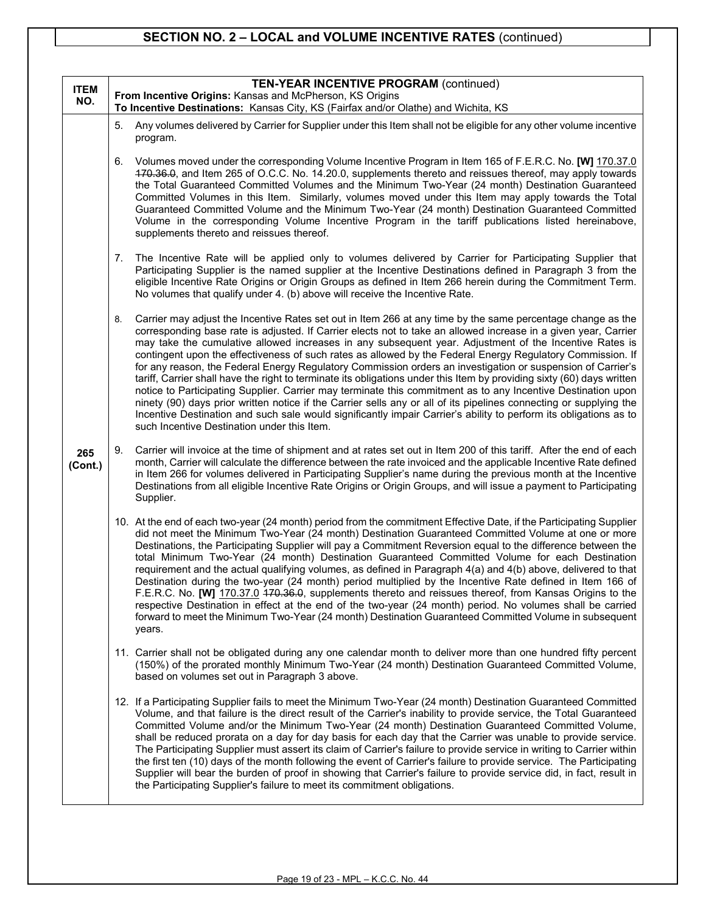## **SECTION NO. 2 – LOCAL and VOLUME INCENTIVE RATES** (continued)

| <b>ITEM</b>    | <b>TEN-YEAR INCENTIVE PROGRAM (continued)</b> |                                                                                                                                                                                                                                                                                                                                                                                                                                                                                                                                                                                                                                                                                                                                                                                                                                                                                                                                                                                                                                                                                                           |  |  |
|----------------|-----------------------------------------------|-----------------------------------------------------------------------------------------------------------------------------------------------------------------------------------------------------------------------------------------------------------------------------------------------------------------------------------------------------------------------------------------------------------------------------------------------------------------------------------------------------------------------------------------------------------------------------------------------------------------------------------------------------------------------------------------------------------------------------------------------------------------------------------------------------------------------------------------------------------------------------------------------------------------------------------------------------------------------------------------------------------------------------------------------------------------------------------------------------------|--|--|
| NO.            |                                               | From Incentive Origins: Kansas and McPherson, KS Origins<br>To Incentive Destinations: Kansas City, KS (Fairfax and/or Olathe) and Wichita, KS                                                                                                                                                                                                                                                                                                                                                                                                                                                                                                                                                                                                                                                                                                                                                                                                                                                                                                                                                            |  |  |
|                | 5.                                            | Any volumes delivered by Carrier for Supplier under this Item shall not be eligible for any other volume incentive<br>program.                                                                                                                                                                                                                                                                                                                                                                                                                                                                                                                                                                                                                                                                                                                                                                                                                                                                                                                                                                            |  |  |
|                | 6.                                            | Volumes moved under the corresponding Volume Incentive Program in Item 165 of F.E.R.C. No. [W] 170.37.0<br>470.36.0, and Item 265 of O.C.C. No. 14.20.0, supplements thereto and reissues thereof, may apply towards<br>the Total Guaranteed Committed Volumes and the Minimum Two-Year (24 month) Destination Guaranteed<br>Committed Volumes in this Item. Similarly, volumes moved under this Item may apply towards the Total<br>Guaranteed Committed Volume and the Minimum Two-Year (24 month) Destination Guaranteed Committed<br>Volume in the corresponding Volume Incentive Program in the tariff publications listed hereinabove,<br>supplements thereto and reissues thereof.                                                                                                                                                                                                                                                                                                                                                                                                                 |  |  |
|                | 7.                                            | The Incentive Rate will be applied only to volumes delivered by Carrier for Participating Supplier that<br>Participating Supplier is the named supplier at the Incentive Destinations defined in Paragraph 3 from the<br>eligible Incentive Rate Origins or Origin Groups as defined in Item 266 herein during the Commitment Term.<br>No volumes that qualify under 4. (b) above will receive the Incentive Rate.                                                                                                                                                                                                                                                                                                                                                                                                                                                                                                                                                                                                                                                                                        |  |  |
|                | 8.                                            | Carrier may adjust the Incentive Rates set out in Item 266 at any time by the same percentage change as the<br>corresponding base rate is adjusted. If Carrier elects not to take an allowed increase in a given year, Carrier<br>may take the cumulative allowed increases in any subsequent year. Adjustment of the Incentive Rates is<br>contingent upon the effectiveness of such rates as allowed by the Federal Energy Regulatory Commission. If<br>for any reason, the Federal Energy Regulatory Commission orders an investigation or suspension of Carrier's<br>tariff, Carrier shall have the right to terminate its obligations under this Item by providing sixty (60) days written<br>notice to Participating Supplier. Carrier may terminate this commitment as to any Incentive Destination upon<br>ninety (90) days prior written notice if the Carrier sells any or all of its pipelines connecting or supplying the<br>Incentive Destination and such sale would significantly impair Carrier's ability to perform its obligations as to<br>such Incentive Destination under this Item. |  |  |
| 265<br>(Cont.) | 9.                                            | Carrier will invoice at the time of shipment and at rates set out in Item 200 of this tariff. After the end of each<br>month, Carrier will calculate the difference between the rate invoiced and the applicable Incentive Rate defined<br>in Item 266 for volumes delivered in Participating Supplier's name during the previous month at the Incentive<br>Destinations from all eligible Incentive Rate Origins or Origin Groups, and will issue a payment to Participating<br>Supplier.                                                                                                                                                                                                                                                                                                                                                                                                                                                                                                                                                                                                                |  |  |
|                |                                               | 10. At the end of each two-year (24 month) period from the commitment Effective Date, if the Participating Supplier<br>did not meet the Minimum Two-Year (24 month) Destination Guaranteed Committed Volume at one or more<br>Destinations, the Participating Supplier will pay a Commitment Reversion equal to the difference between the<br>total Minimum Two-Year (24 month) Destination Guaranteed Committed Volume for each Destination<br>requirement and the actual qualifying volumes, as defined in Paragraph 4(a) and 4(b) above, delivered to that<br>Destination during the two-year (24 month) period multiplied by the Incentive Rate defined in Item 166 of<br>F.E.R.C. No. [W] 170.37.0 470.36.0, supplements thereto and reissues thereof, from Kansas Origins to the<br>respective Destination in effect at the end of the two-year (24 month) period. No volumes shall be carried<br>forward to meet the Minimum Two-Year (24 month) Destination Guaranteed Committed Volume in subsequent<br>years.                                                                                   |  |  |
|                |                                               | 11. Carrier shall not be obligated during any one calendar month to deliver more than one hundred fifty percent<br>(150%) of the prorated monthly Minimum Two-Year (24 month) Destination Guaranteed Committed Volume,<br>based on volumes set out in Paragraph 3 above.                                                                                                                                                                                                                                                                                                                                                                                                                                                                                                                                                                                                                                                                                                                                                                                                                                  |  |  |
|                |                                               | 12. If a Participating Supplier fails to meet the Minimum Two-Year (24 month) Destination Guaranteed Committed<br>Volume, and that failure is the direct result of the Carrier's inability to provide service, the Total Guaranteed<br>Committed Volume and/or the Minimum Two-Year (24 month) Destination Guaranteed Committed Volume,<br>shall be reduced prorata on a day for day basis for each day that the Carrier was unable to provide service.<br>The Participating Supplier must assert its claim of Carrier's failure to provide service in writing to Carrier within<br>the first ten (10) days of the month following the event of Carrier's failure to provide service. The Participating<br>Supplier will bear the burden of proof in showing that Carrier's failure to provide service did, in fact, result in<br>the Participating Supplier's failure to meet its commitment obligations.                                                                                                                                                                                                |  |  |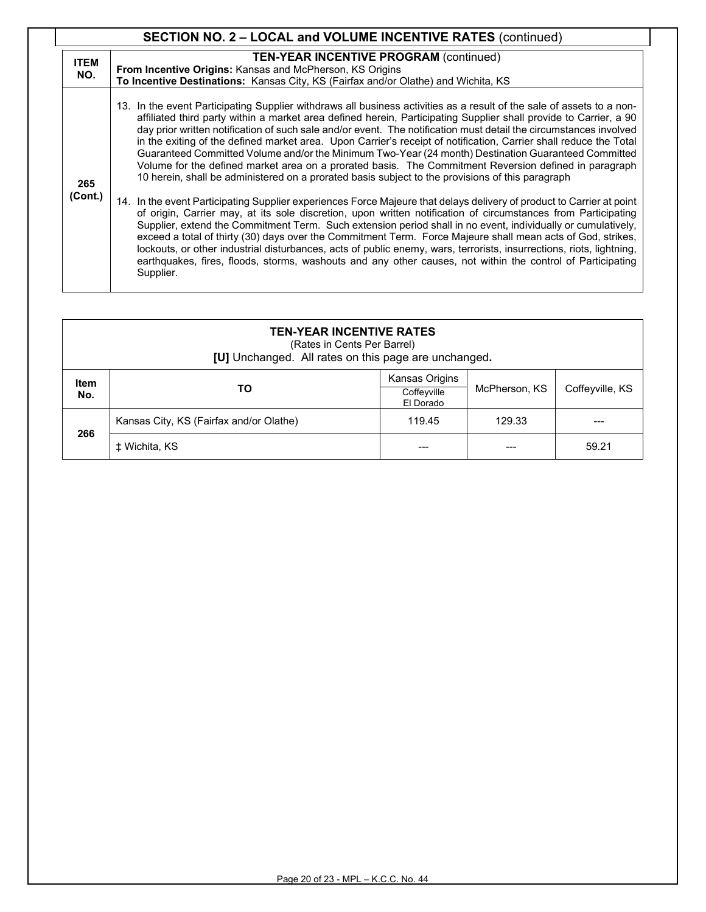| <b>SECTION NO. 2 - LOCAL and VOLUME INCENTIVE RATES (continued)</b> |                                                                                                                                                                                                                                                                                                                                                                                                                                                                                                                                                                                                                                                                                                                                                                                                          |  |  |
|---------------------------------------------------------------------|----------------------------------------------------------------------------------------------------------------------------------------------------------------------------------------------------------------------------------------------------------------------------------------------------------------------------------------------------------------------------------------------------------------------------------------------------------------------------------------------------------------------------------------------------------------------------------------------------------------------------------------------------------------------------------------------------------------------------------------------------------------------------------------------------------|--|--|
| <b>ITEM</b><br>NO.                                                  | <b>TEN-YEAR INCENTIVE PROGRAM (continued)</b><br><b>From Incentive Origins: Kansas and McPherson, KS Origins</b><br>To Incentive Destinations: Kansas City, KS (Fairfax and/or Olathe) and Wichita, KS                                                                                                                                                                                                                                                                                                                                                                                                                                                                                                                                                                                                   |  |  |
| 265                                                                 | 13. In the event Participating Supplier withdraws all business activities as a result of the sale of assets to a non-<br>affiliated third party within a market area defined herein, Participating Supplier shall provide to Carrier, a 90<br>day prior written notification of such sale and/or event. The notification must detail the circumstances involved<br>in the exiting of the defined market area. Upon Carrier's receipt of notification, Carrier shall reduce the Total<br>Guaranteed Committed Volume and/or the Minimum Two-Year (24 month) Destination Guaranteed Committed<br>Volume for the defined market area on a prorated basis. The Commitment Reversion defined in paragraph<br>10 herein, shall be administered on a prorated basis subject to the provisions of this paragraph |  |  |
| (Cont.)                                                             | 14. In the event Participating Supplier experiences Force Majeure that delays delivery of product to Carrier at point<br>of origin, Carrier may, at its sole discretion, upon written notification of circumstances from Participating<br>Supplier, extend the Commitment Term. Such extension period shall in no event, individually or cumulatively,<br>exceed a total of thirty (30) days over the Commitment Term. Force Majeure shall mean acts of God, strikes,<br>lockouts, or other industrial disturbances, acts of public enemy, wars, terrorists, insurrections, riots, lightning,<br>earthquakes, fires, floods, storms, washouts and any other causes, not within the control of Participating<br>Supplier.                                                                                 |  |  |

| <b>TEN-YEAR INCENTIVE RATES</b><br>(Rates in Cents Per Barrel)<br>[U] Unchanged. All rates on this page are unchanged. |                                         |                                            |               |                 |
|------------------------------------------------------------------------------------------------------------------------|-----------------------------------------|--------------------------------------------|---------------|-----------------|
| <b>Item</b><br>No.                                                                                                     | TO                                      | Kansas Origins<br>Coffeyville<br>El Dorado | McPherson, KS | Coffeyville, KS |
| 266                                                                                                                    | Kansas City, KS (Fairfax and/or Olathe) | 119.45                                     | 129.33        |                 |
|                                                                                                                        | ± Wichita, KS                           |                                            |               | 59.21           |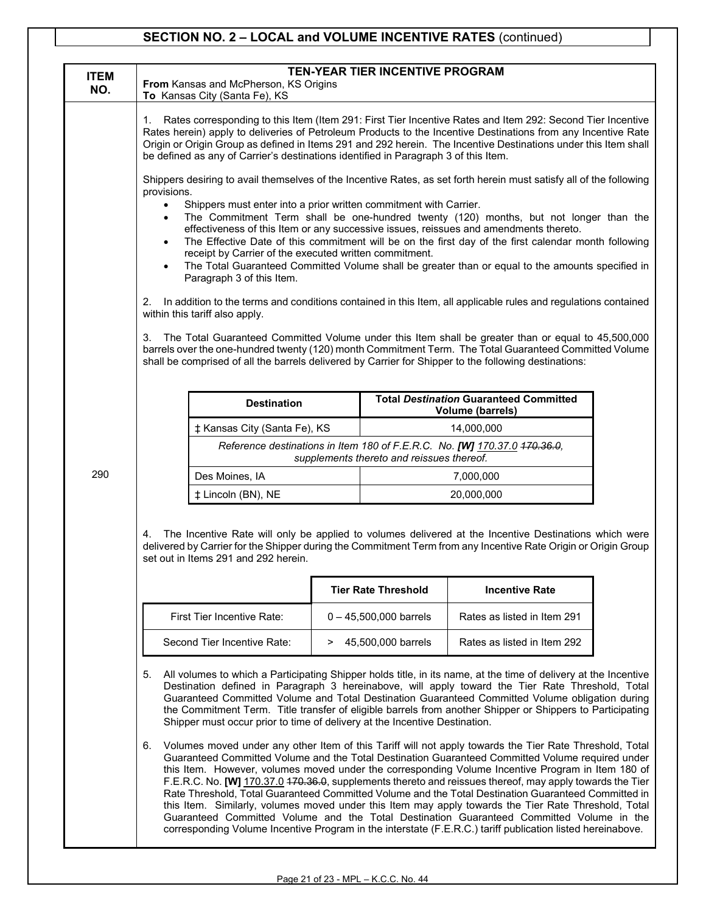## **SECTION NO. 2 – LOCAL and VOLUME INCENTIVE RATES** (continued)

| <b>ITEM</b><br>NO.                                                                                                                                                                                                                                                                                                                                                                                                                                                                                                                                                                                                                                                                                                                                                                                                                                                                                                                                                                                                                                                                                                                                                                                                                                                                                                                                                                     | <b>TEN-YEAR TIER INCENTIVE PROGRAM</b><br>From Kansas and McPherson, KS Origins                                                                                                                                                                                                                                                                                                                                                                                                                                                                                                                                                                                                                                                                                                                                                                                                                                                                                                                                                                                                                                                                                                                                                                                                                                                                                                                                                                                              |                                                                                                                                                                                                                 |                                           |                                                                           |  |
|----------------------------------------------------------------------------------------------------------------------------------------------------------------------------------------------------------------------------------------------------------------------------------------------------------------------------------------------------------------------------------------------------------------------------------------------------------------------------------------------------------------------------------------------------------------------------------------------------------------------------------------------------------------------------------------------------------------------------------------------------------------------------------------------------------------------------------------------------------------------------------------------------------------------------------------------------------------------------------------------------------------------------------------------------------------------------------------------------------------------------------------------------------------------------------------------------------------------------------------------------------------------------------------------------------------------------------------------------------------------------------------|------------------------------------------------------------------------------------------------------------------------------------------------------------------------------------------------------------------------------------------------------------------------------------------------------------------------------------------------------------------------------------------------------------------------------------------------------------------------------------------------------------------------------------------------------------------------------------------------------------------------------------------------------------------------------------------------------------------------------------------------------------------------------------------------------------------------------------------------------------------------------------------------------------------------------------------------------------------------------------------------------------------------------------------------------------------------------------------------------------------------------------------------------------------------------------------------------------------------------------------------------------------------------------------------------------------------------------------------------------------------------------------------------------------------------------------------------------------------------|-----------------------------------------------------------------------------------------------------------------------------------------------------------------------------------------------------------------|-------------------------------------------|---------------------------------------------------------------------------|--|
|                                                                                                                                                                                                                                                                                                                                                                                                                                                                                                                                                                                                                                                                                                                                                                                                                                                                                                                                                                                                                                                                                                                                                                                                                                                                                                                                                                                        | To Kansas City (Santa Fe), KS<br>Rates corresponding to this Item (Item 291: First Tier Incentive Rates and Item 292: Second Tier Incentive<br>1.<br>Rates herein) apply to deliveries of Petroleum Products to the Incentive Destinations from any Incentive Rate<br>Origin or Origin Group as defined in Items 291 and 292 herein. The Incentive Destinations under this Item shall<br>be defined as any of Carrier's destinations identified in Paragraph 3 of this Item.<br>Shippers desiring to avail themselves of the Incentive Rates, as set forth herein must satisfy all of the following<br>provisions.<br>Shippers must enter into a prior written commitment with Carrier.<br>$\bullet$<br>The Commitment Term shall be one-hundred twenty (120) months, but not longer than the<br>$\bullet$<br>effectiveness of this Item or any successive issues, reissues and amendments thereto.<br>The Effective Date of this commitment will be on the first day of the first calendar month following<br>receipt by Carrier of the executed written commitment.<br>The Total Guaranteed Committed Volume shall be greater than or equal to the amounts specified in<br>Paragraph 3 of this Item.<br>In addition to the terms and conditions contained in this Item, all applicable rules and regulations contained<br>2.<br>within this tariff also apply.<br>The Total Guaranteed Committed Volume under this Item shall be greater than or equal to 45,500,000<br>3. |                                                                                                                                                                                                                 |                                           |                                                                           |  |
|                                                                                                                                                                                                                                                                                                                                                                                                                                                                                                                                                                                                                                                                                                                                                                                                                                                                                                                                                                                                                                                                                                                                                                                                                                                                                                                                                                                        |                                                                                                                                                                                                                                                                                                                                                                                                                                                                                                                                                                                                                                                                                                                                                                                                                                                                                                                                                                                                                                                                                                                                                                                                                                                                                                                                                                                                                                                                              | barrels over the one-hundred twenty (120) month Commitment Term. The Total Guaranteed Committed Volume<br>shall be comprised of all the barrels delivered by Carrier for Shipper to the following destinations: |                                           |                                                                           |  |
|                                                                                                                                                                                                                                                                                                                                                                                                                                                                                                                                                                                                                                                                                                                                                                                                                                                                                                                                                                                                                                                                                                                                                                                                                                                                                                                                                                                        | <b>Destination</b>                                                                                                                                                                                                                                                                                                                                                                                                                                                                                                                                                                                                                                                                                                                                                                                                                                                                                                                                                                                                                                                                                                                                                                                                                                                                                                                                                                                                                                                           |                                                                                                                                                                                                                 |                                           | <b>Total Destination Guaranteed Committed</b><br><b>Volume (barrels)</b>  |  |
|                                                                                                                                                                                                                                                                                                                                                                                                                                                                                                                                                                                                                                                                                                                                                                                                                                                                                                                                                                                                                                                                                                                                                                                                                                                                                                                                                                                        | ‡ Kansas City (Santa Fe), KS                                                                                                                                                                                                                                                                                                                                                                                                                                                                                                                                                                                                                                                                                                                                                                                                                                                                                                                                                                                                                                                                                                                                                                                                                                                                                                                                                                                                                                                 |                                                                                                                                                                                                                 |                                           | 14,000,000                                                                |  |
|                                                                                                                                                                                                                                                                                                                                                                                                                                                                                                                                                                                                                                                                                                                                                                                                                                                                                                                                                                                                                                                                                                                                                                                                                                                                                                                                                                                        |                                                                                                                                                                                                                                                                                                                                                                                                                                                                                                                                                                                                                                                                                                                                                                                                                                                                                                                                                                                                                                                                                                                                                                                                                                                                                                                                                                                                                                                                              |                                                                                                                                                                                                                 | supplements thereto and reissues thereof. | Reference destinations in Item 180 of F.E.R.C. No. [W] 170.37.0 470.36.0, |  |
| 290                                                                                                                                                                                                                                                                                                                                                                                                                                                                                                                                                                                                                                                                                                                                                                                                                                                                                                                                                                                                                                                                                                                                                                                                                                                                                                                                                                                    | Des Moines, IA                                                                                                                                                                                                                                                                                                                                                                                                                                                                                                                                                                                                                                                                                                                                                                                                                                                                                                                                                                                                                                                                                                                                                                                                                                                                                                                                                                                                                                                               | 7,000,000                                                                                                                                                                                                       |                                           |                                                                           |  |
|                                                                                                                                                                                                                                                                                                                                                                                                                                                                                                                                                                                                                                                                                                                                                                                                                                                                                                                                                                                                                                                                                                                                                                                                                                                                                                                                                                                        | ‡ Lincoln (BN), NE                                                                                                                                                                                                                                                                                                                                                                                                                                                                                                                                                                                                                                                                                                                                                                                                                                                                                                                                                                                                                                                                                                                                                                                                                                                                                                                                                                                                                                                           |                                                                                                                                                                                                                 |                                           | 20,000,000                                                                |  |
| The Incentive Rate will only be applied to volumes delivered at the Incentive Destinations which were<br>4.<br>delivered by Carrier for the Shipper during the Commitment Term from any Incentive Rate Origin or Origin Group<br>set out in Items 291 and 292 herein.<br><b>Tier Rate Threshold</b>                                                                                                                                                                                                                                                                                                                                                                                                                                                                                                                                                                                                                                                                                                                                                                                                                                                                                                                                                                                                                                                                                    |                                                                                                                                                                                                                                                                                                                                                                                                                                                                                                                                                                                                                                                                                                                                                                                                                                                                                                                                                                                                                                                                                                                                                                                                                                                                                                                                                                                                                                                                              |                                                                                                                                                                                                                 | <b>Incentive Rate</b>                     |                                                                           |  |
|                                                                                                                                                                                                                                                                                                                                                                                                                                                                                                                                                                                                                                                                                                                                                                                                                                                                                                                                                                                                                                                                                                                                                                                                                                                                                                                                                                                        | First Tier Incentive Rate:                                                                                                                                                                                                                                                                                                                                                                                                                                                                                                                                                                                                                                                                                                                                                                                                                                                                                                                                                                                                                                                                                                                                                                                                                                                                                                                                                                                                                                                   |                                                                                                                                                                                                                 |                                           |                                                                           |  |
|                                                                                                                                                                                                                                                                                                                                                                                                                                                                                                                                                                                                                                                                                                                                                                                                                                                                                                                                                                                                                                                                                                                                                                                                                                                                                                                                                                                        | Second Tier Incentive Rate:                                                                                                                                                                                                                                                                                                                                                                                                                                                                                                                                                                                                                                                                                                                                                                                                                                                                                                                                                                                                                                                                                                                                                                                                                                                                                                                                                                                                                                                  | $0 - 45,500,000$ barrels<br>45,500,000 barrels<br>>                                                                                                                                                             |                                           | Rates as listed in Item 291<br>Rates as listed in Item 292                |  |
| All volumes to which a Participating Shipper holds title, in its name, at the time of delivery at the Incentive<br>5.<br>Destination defined in Paragraph 3 hereinabove, will apply toward the Tier Rate Threshold, Total<br>Guaranteed Committed Volume and Total Destination Guaranteed Committed Volume obligation during<br>the Commitment Term. Title transfer of eligible barrels from another Shipper or Shippers to Participating<br>Shipper must occur prior to time of delivery at the Incentive Destination.<br>Volumes moved under any other Item of this Tariff will not apply towards the Tier Rate Threshold, Total<br>6.<br>Guaranteed Committed Volume and the Total Destination Guaranteed Committed Volume required under<br>this Item. However, volumes moved under the corresponding Volume Incentive Program in Item 180 of<br>F.E.R.C. No. [W] 170.37.0 470.36.0, supplements thereto and reissues thereof, may apply towards the Tier<br>Rate Threshold, Total Guaranteed Committed Volume and the Total Destination Guaranteed Committed in<br>this Item. Similarly, volumes moved under this Item may apply towards the Tier Rate Threshold, Total<br>Guaranteed Committed Volume and the Total Destination Guaranteed Committed Volume in the<br>corresponding Volume Incentive Program in the interstate (F.E.R.C.) tariff publication listed hereinabove. |                                                                                                                                                                                                                                                                                                                                                                                                                                                                                                                                                                                                                                                                                                                                                                                                                                                                                                                                                                                                                                                                                                                                                                                                                                                                                                                                                                                                                                                                              |                                                                                                                                                                                                                 |                                           |                                                                           |  |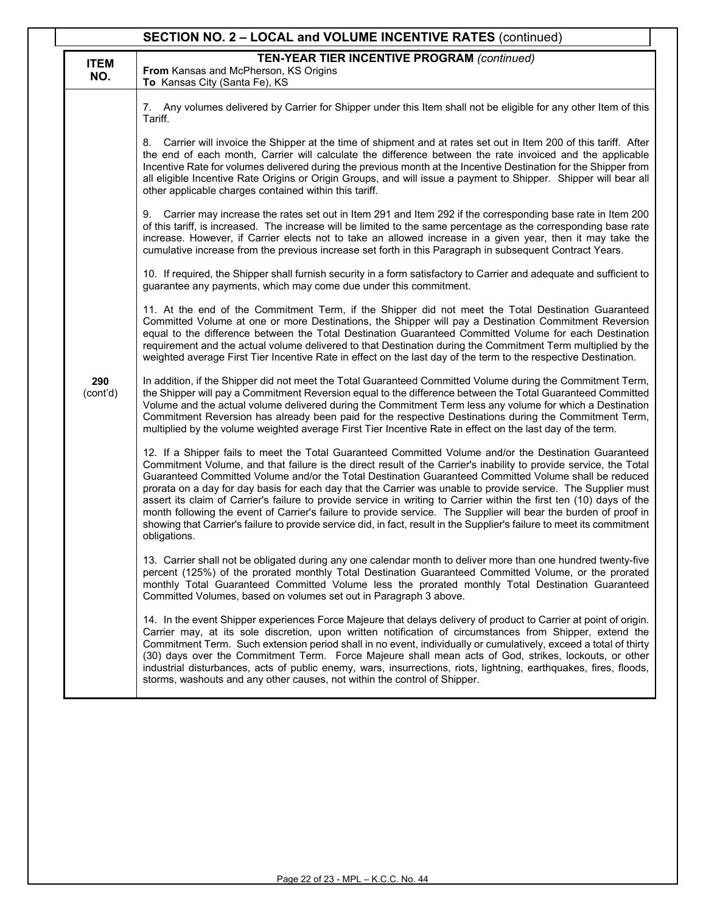|                    | SECTION NO. 2 - LOCAL and VOLUME INCENTIVE RATES (continued)                                                                                                                                                                                                                                                                                                                                                                                                                                                                                                                                                                                                                                                                                                                                                                                 |
|--------------------|----------------------------------------------------------------------------------------------------------------------------------------------------------------------------------------------------------------------------------------------------------------------------------------------------------------------------------------------------------------------------------------------------------------------------------------------------------------------------------------------------------------------------------------------------------------------------------------------------------------------------------------------------------------------------------------------------------------------------------------------------------------------------------------------------------------------------------------------|
| <b>ITEM</b><br>NO. | <b>TEN-YEAR TIER INCENTIVE PROGRAM (continued)</b><br>From Kansas and McPherson, KS Origins<br>To Kansas City (Santa Fe), KS                                                                                                                                                                                                                                                                                                                                                                                                                                                                                                                                                                                                                                                                                                                 |
|                    | 7. Any volumes delivered by Carrier for Shipper under this Item shall not be eligible for any other Item of this<br>Tariff.                                                                                                                                                                                                                                                                                                                                                                                                                                                                                                                                                                                                                                                                                                                  |
|                    | Carrier will invoice the Shipper at the time of shipment and at rates set out in Item 200 of this tariff. After<br>8.<br>the end of each month, Carrier will calculate the difference between the rate invoiced and the applicable<br>Incentive Rate for volumes delivered during the previous month at the Incentive Destination for the Shipper from<br>all eligible Incentive Rate Origins or Origin Groups, and will issue a payment to Shipper. Shipper will bear all<br>other applicable charges contained within this tariff.                                                                                                                                                                                                                                                                                                         |
|                    | 9. Carrier may increase the rates set out in Item 291 and Item 292 if the corresponding base rate in Item 200<br>of this tariff, is increased. The increase will be limited to the same percentage as the corresponding base rate<br>increase. However, if Carrier elects not to take an allowed increase in a given year, then it may take the<br>cumulative increase from the previous increase set forth in this Paragraph in subsequent Contract Years.                                                                                                                                                                                                                                                                                                                                                                                  |
|                    | 10. If required, the Shipper shall furnish security in a form satisfactory to Carrier and adequate and sufficient to<br>guarantee any payments, which may come due under this commitment.                                                                                                                                                                                                                                                                                                                                                                                                                                                                                                                                                                                                                                                    |
|                    | 11. At the end of the Commitment Term, if the Shipper did not meet the Total Destination Guaranteed<br>Committed Volume at one or more Destinations, the Shipper will pay a Destination Commitment Reversion<br>equal to the difference between the Total Destination Guaranteed Committed Volume for each Destination<br>requirement and the actual volume delivered to that Destination during the Commitment Term multiplied by the<br>weighted average First Tier Incentive Rate in effect on the last day of the term to the respective Destination.                                                                                                                                                                                                                                                                                    |
| 290<br>(cont'd)    | In addition, if the Shipper did not meet the Total Guaranteed Committed Volume during the Commitment Term,<br>the Shipper will pay a Commitment Reversion equal to the difference between the Total Guaranteed Committed<br>Volume and the actual volume delivered during the Commitment Term less any volume for which a Destination<br>Commitment Reversion has already been paid for the respective Destinations during the Commitment Term,<br>multiplied by the volume weighted average First Tier Incentive Rate in effect on the last day of the term.                                                                                                                                                                                                                                                                                |
|                    | 12. If a Shipper fails to meet the Total Guaranteed Committed Volume and/or the Destination Guaranteed<br>Commitment Volume, and that failure is the direct result of the Carrier's inability to provide service, the Total<br>Guaranteed Committed Volume and/or the Total Destination Guaranteed Committed Volume shall be reduced<br>prorata on a day for day basis for each day that the Carrier was unable to provide service. The Supplier must<br>assert its claim of Carrier's failure to provide service in writing to Carrier within the first ten (10) days of the<br>month following the event of Carrier's failure to provide service. The Supplier will bear the burden of proof in<br>showing that Carrier's failure to provide service did, in fact, result in the Supplier's failure to meet its commitment<br>obligations. |
|                    | 13. Carrier shall not be obligated during any one calendar month to deliver more than one hundred twenty-five<br>percent (125%) of the prorated monthly Total Destination Guaranteed Committed Volume, or the prorated<br>monthly Total Guaranteed Committed Volume less the prorated monthly Total Destination Guaranteed<br>Committed Volumes, based on volumes set out in Paragraph 3 above.                                                                                                                                                                                                                                                                                                                                                                                                                                              |
|                    | 14. In the event Shipper experiences Force Majeure that delays delivery of product to Carrier at point of origin.<br>Carrier may, at its sole discretion, upon written notification of circumstances from Shipper, extend the<br>Commitment Term. Such extension period shall in no event, individually or cumulatively, exceed a total of thirty<br>(30) days over the Commitment Term. Force Majeure shall mean acts of God, strikes, lockouts, or other<br>industrial disturbances, acts of public enemy, wars, insurrections, riots, lightning, earthquakes, fires, floods,<br>storms, washouts and any other causes, not within the control of Shipper.                                                                                                                                                                                 |